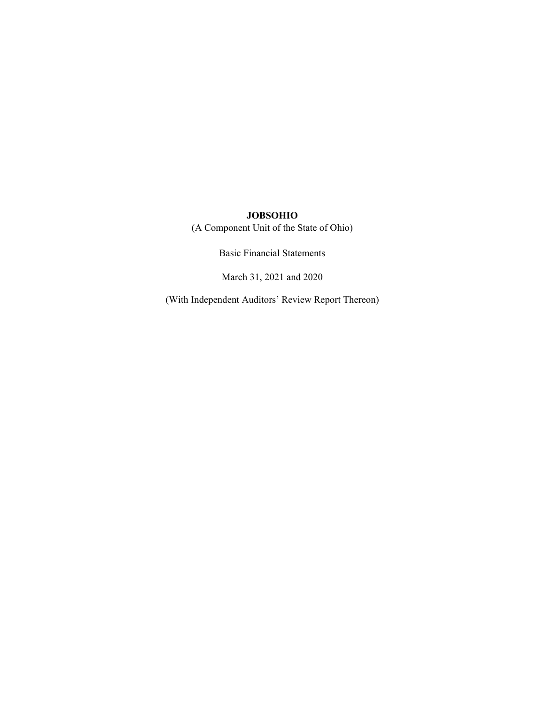(A Component Unit of the State of Ohio)

Basic Financial Statements

March 31, 2021 and 2020

(With Independent Auditors' Review Report Thereon)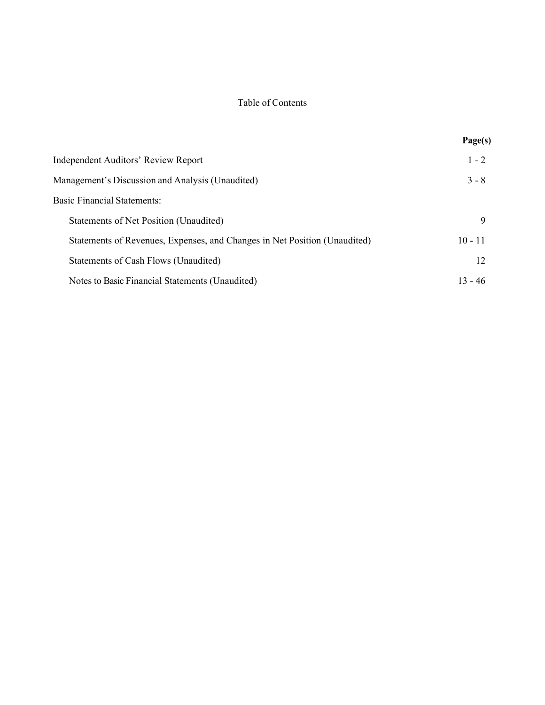## Table of Contents

|                                                                           | Page(s)   |
|---------------------------------------------------------------------------|-----------|
| Independent Auditors' Review Report                                       | $1 - 2$   |
| Management's Discussion and Analysis (Unaudited)                          | $3 - 8$   |
| <b>Basic Financial Statements:</b>                                        |           |
| Statements of Net Position (Unaudited)                                    | 9         |
| Statements of Revenues, Expenses, and Changes in Net Position (Unaudited) | $10 - 11$ |
| Statements of Cash Flows (Unaudited)                                      | 12        |
| Notes to Basic Financial Statements (Unaudited)                           | $13 - 46$ |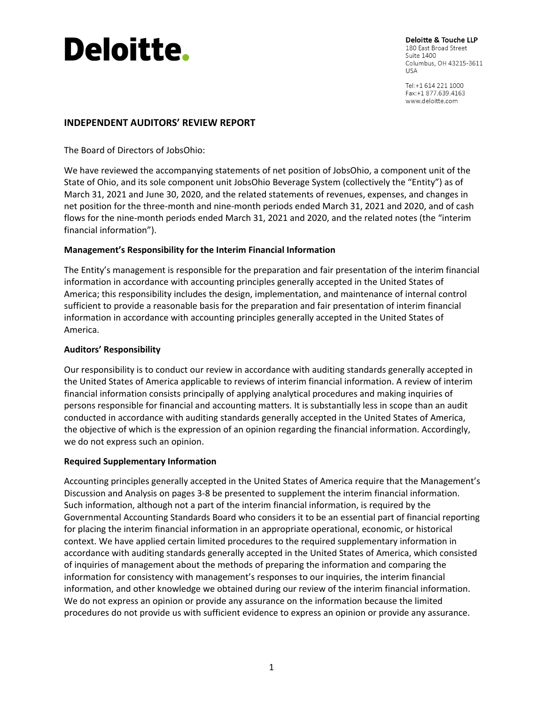# **Deloitte.**

Deloitte & Touche LLP 180 East Broad Street **Suite 1400** Columbus, OH 43215-3611 **USA** 

Tel:+1 614 221 1000 Fax:+1 877.639.4163 www.deloitte.com

# **INDEPENDENT AUDITORS' REVIEW REPORT**

The Board of Directors of JobsOhio:

We have reviewed the accompanying statements of net position of JobsOhio, a component unit of the State of Ohio, and its sole component unit JobsOhio Beverage System (collectively the "Entity") as of March 31, 2021 and June 30, 2020, and the related statements of revenues, expenses, and changes in net position for the three‐month and nine‐month periods ended March 31, 2021 and 2020, and of cash flows for the nine‐month periods ended March 31, 2021 and 2020, and the related notes (the "interim financial information").

## **Management's Responsibility for the Interim Financial Information**

The Entity's management is responsible for the preparation and fair presentation of the interim financial information in accordance with accounting principles generally accepted in the United States of America; this responsibility includes the design, implementation, and maintenance of internal control sufficient to provide a reasonable basis for the preparation and fair presentation of interim financial information in accordance with accounting principles generally accepted in the United States of America.

## **Auditors' Responsibility**

Our responsibility is to conduct our review in accordance with auditing standards generally accepted in the United States of America applicable to reviews of interim financial information. A review of interim financial information consists principally of applying analytical procedures and making inquiries of persons responsible for financial and accounting matters. It is substantially less in scope than an audit conducted in accordance with auditing standards generally accepted in the United States of America, the objective of which is the expression of an opinion regarding the financial information. Accordingly, we do not express such an opinion.

## **Required Supplementary Information**

Accounting principles generally accepted in the United States of America require that the Management's Discussion and Analysis on pages 3‐8 be presented to supplement the interim financial information. Such information, although not a part of the interim financial information, is required by the Governmental Accounting Standards Board who considers it to be an essential part of financial reporting for placing the interim financial information in an appropriate operational, economic, or historical context. We have applied certain limited procedures to the required supplementary information in accordance with auditing standards generally accepted in the United States of America, which consisted of inquiries of management about the methods of preparing the information and comparing the information for consistency with management's responses to our inquiries, the interim financial information, and other knowledge we obtained during our review of the interim financial information. We do not express an opinion or provide any assurance on the information because the limited procedures do not provide us with sufficient evidence to express an opinion or provide any assurance.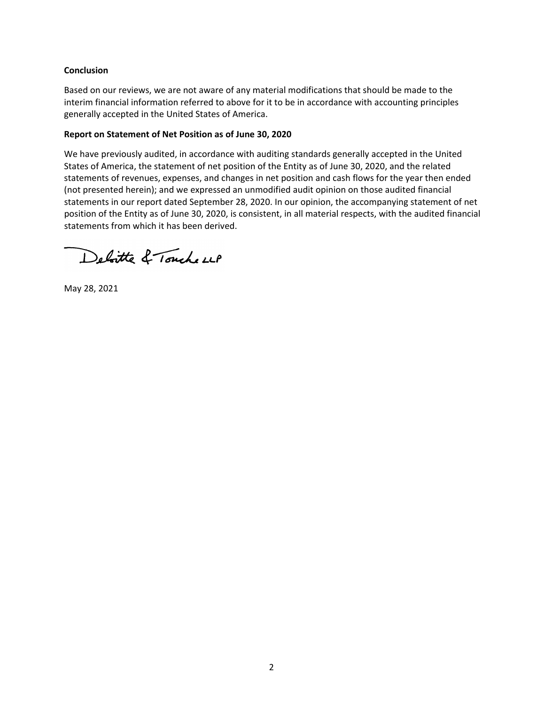## **Conclusion**

Based on our reviews, we are not aware of any material modifications that should be made to the interim financial information referred to above for it to be in accordance with accounting principles generally accepted in the United States of America.

#### **Report on Statement of Net Position as of June 30, 2020**

We have previously audited, in accordance with auditing standards generally accepted in the United States of America, the statement of net position of the Entity as of June 30, 2020, and the related statements of revenues, expenses, and changes in net position and cash flows for the year then ended (not presented herein); and we expressed an unmodified audit opinion on those audited financial statements in our report dated September 28, 2020. In our opinion, the accompanying statement of net position of the Entity as of June 30, 2020, is consistent, in all material respects, with the audited financial statements from which it has been derived.

Deloitte & Touche LLP

May 28, 2021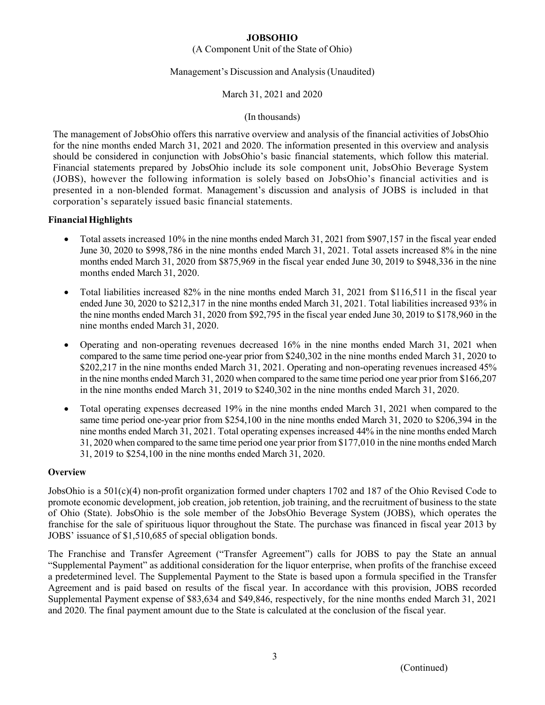## (A Component Unit of the State of Ohio)

## Management's Discussion and Analysis (Unaudited)

## March 31, 2021 and 2020

## (In thousands)

The management of JobsOhio offers this narrative overview and analysis of the financial activities of JobsOhio for the nine months ended March 31, 2021 and 2020. The information presented in this overview and analysis should be considered in conjunction with JobsOhio's basic financial statements, which follow this material. Financial statements prepared by JobsOhio include its sole component unit, JobsOhio Beverage System (JOBS), however the following information is solely based on JobsOhio's financial activities and is presented in a non-blended format. Management's discussion and analysis of JOBS is included in that corporation's separately issued basic financial statements.

## **Financial Highlights**

- Total assets increased 10% in the nine months ended March 31, 2021 from \$907,157 in the fiscal year ended June 30, 2020 to \$998,786 in the nine months ended March 31, 2021. Total assets increased 8% in the nine months ended March 31, 2020 from \$875,969 in the fiscal year ended June 30, 2019 to \$948,336 in the nine months ended March 31, 2020.
- Total liabilities increased 82% in the nine months ended March 31, 2021 from \$116,511 in the fiscal year ended June 30, 2020 to \$212,317 in the nine months ended March 31, 2021. Total liabilities increased 93% in the nine months ended March 31, 2020 from \$92,795 in the fiscal year ended June 30, 2019 to \$178,960 in the nine months ended March 31, 2020.
- Operating and non-operating revenues decreased 16% in the nine months ended March 31, 2021 when compared to the same time period one-year prior from \$240,302 in the nine months ended March 31, 2020 to \$202,217 in the nine months ended March 31, 2021. Operating and non-operating revenues increased 45% in the nine months ended March 31, 2020 when compared to the same time period one year prior from \$166,207 in the nine months ended March 31, 2019 to \$240,302 in the nine months ended March 31, 2020.
- Total operating expenses decreased 19% in the nine months ended March 31, 2021 when compared to the same time period one-year prior from \$254,100 in the nine months ended March 31, 2020 to \$206,394 in the nine months ended March 31, 2021. Total operating expenses increased 44% in the nine months ended March 31, 2020 when compared to the same time period one year prior from \$177,010 in the nine months ended March 31, 2019 to \$254,100 in the nine months ended March 31, 2020.

## **Overview**

JobsOhio is a 501(c)(4) non-profit organization formed under chapters 1702 and 187 of the Ohio Revised Code to promote economic development, job creation, job retention, job training, and the recruitment of business to the state of Ohio (State). JobsOhio is the sole member of the JobsOhio Beverage System (JOBS), which operates the franchise for the sale of spirituous liquor throughout the State. The purchase was financed in fiscal year 2013 by JOBS' issuance of \$1,510,685 of special obligation bonds.

The Franchise and Transfer Agreement ("Transfer Agreement") calls for JOBS to pay the State an annual "Supplemental Payment" as additional consideration for the liquor enterprise, when profits of the franchise exceed a predetermined level. The Supplemental Payment to the State is based upon a formula specified in the Transfer Agreement and is paid based on results of the fiscal year. In accordance with this provision, JOBS recorded Supplemental Payment expense of \$83,634 and \$49,846, respectively, for the nine months ended March 31, 2021 and 2020. The final payment amount due to the State is calculated at the conclusion of the fiscal year.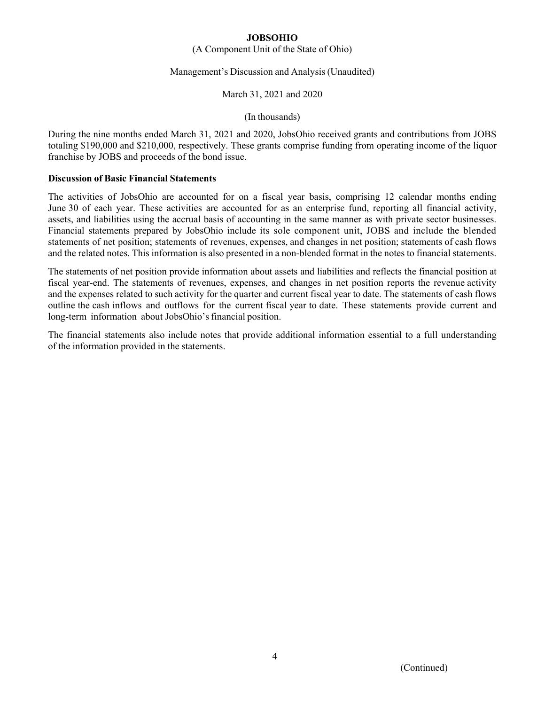## (A Component Unit of the State of Ohio)

## Management's Discussion and Analysis (Unaudited)

## March 31, 2021 and 2020

### (In thousands)

During the nine months ended March 31, 2021 and 2020, JobsOhio received grants and contributions from JOBS totaling \$190,000 and \$210,000, respectively. These grants comprise funding from operating income of the liquor franchise by JOBS and proceeds of the bond issue.

### **Discussion of Basic Financial Statements**

The activities of JobsOhio are accounted for on a fiscal year basis, comprising 12 calendar months ending June 30 of each year. These activities are accounted for as an enterprise fund, reporting all financial activity, assets, and liabilities using the accrual basis of accounting in the same manner as with private sector businesses. Financial statements prepared by JobsOhio include its sole component unit, JOBS and include the blended statements of net position; statements of revenues, expenses, and changes in net position; statements of cash flows and the related notes. This information is also presented in a non-blended format in the notes to financial statements.

The statements of net position provide information about assets and liabilities and reflects the financial position at fiscal year-end. The statements of revenues, expenses, and changes in net position reports the revenue activity and the expenses related to such activity for the quarter and current fiscal year to date. The statements of cash flows outline the cash inflows and outflows for the current fiscal year to date. These statements provide current and long-term information about JobsOhio's financial position.

The financial statements also include notes that provide additional information essential to a full understanding of the information provided in the statements.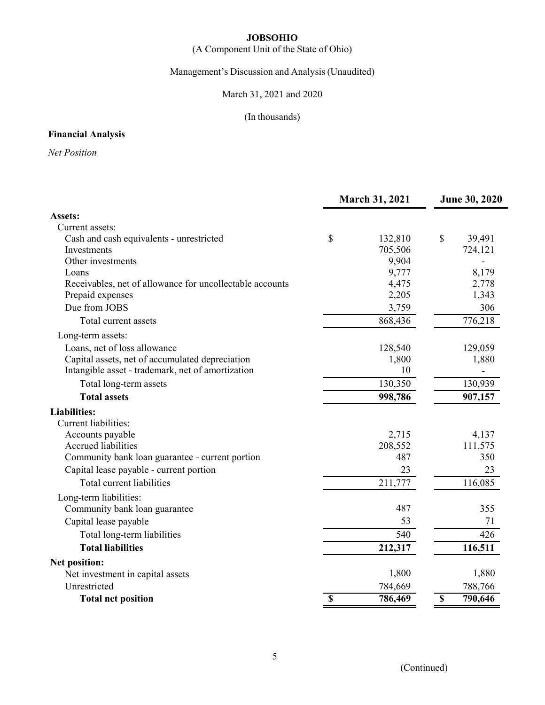# (A Component Unit of the State of Ohio)

Management's Discussion and Analysis (Unaudited)

March 31, 2021 and 2020

# (In thousands)

# **Financial Analysis**

*Net Position* 

|                                                          | <b>March 31, 2021</b> | <b>June 30, 2020</b> |             |         |
|----------------------------------------------------------|-----------------------|----------------------|-------------|---------|
| Assets:                                                  |                       |                      |             |         |
| Current assets:                                          |                       |                      |             |         |
| Cash and cash equivalents - unrestricted                 | \$                    | 132,810              | \$          | 39,491  |
| Investments                                              |                       | 705,506              |             | 724,121 |
| Other investments                                        |                       | 9,904                |             |         |
| Loans                                                    |                       | 9,777                |             | 8,179   |
| Receivables, net of allowance for uncollectable accounts |                       | 4,475                |             | 2,778   |
| Prepaid expenses                                         |                       | 2,205                |             | 1,343   |
| Due from JOBS                                            |                       | 3,759                |             | 306     |
| Total current assets                                     |                       | 868,436              |             | 776,218 |
| Long-term assets:                                        |                       |                      |             |         |
| Loans, net of loss allowance                             |                       | 128,540              |             | 129,059 |
| Capital assets, net of accumulated depreciation          |                       | 1,800                |             | 1,880   |
| Intangible asset - trademark, net of amortization        |                       | 10                   |             |         |
| Total long-term assets                                   |                       | 130,350              |             | 130,939 |
| <b>Total assets</b>                                      |                       | 998,786              |             | 907,157 |
| <b>Liabilities:</b>                                      |                       |                      |             |         |
| Current liabilities:                                     |                       |                      |             |         |
| Accounts payable                                         |                       | 2,715                |             | 4,137   |
| Accrued liabilities                                      |                       | 208,552              |             | 111,575 |
| Community bank loan guarantee - current portion          |                       | 487                  |             | 350     |
| Capital lease payable - current portion                  |                       | 23                   |             | 23      |
| Total current liabilities                                |                       | 211,777              |             | 116,085 |
| Long-term liabilities:                                   |                       |                      |             |         |
| Community bank loan guarantee                            |                       | 487                  |             | 355     |
| Capital lease payable                                    |                       | 53                   |             | 71      |
| Total long-term liabilities                              |                       | 540                  |             | 426     |
| <b>Total liabilities</b>                                 |                       | 212,317              |             | 116,511 |
| Net position:                                            |                       |                      |             |         |
| Net investment in capital assets                         |                       | 1,800                |             | 1,880   |
| Unrestricted                                             |                       | 784,669              |             | 788,766 |
| <b>Total net position</b>                                | \$                    | 786,469              | $\mathbb S$ | 790,646 |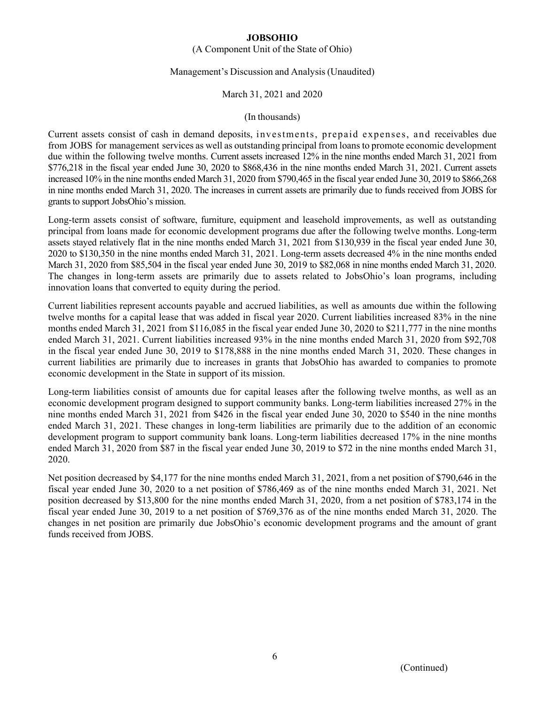## (A Component Unit of the State of Ohio)

#### Management's Discussion and Analysis (Unaudited)

### March 31, 2021 and 2020

#### (In thousands)

Current assets consist of cash in demand deposits, investments, prepaid expenses, and receivables due from JOBS for management services as well as outstanding principal from loans to promote economic development due within the following twelve months. Current assets increased 12% in the nine months ended March 31, 2021 from \$776,218 in the fiscal year ended June 30, 2020 to \$868,436 in the nine months ended March 31, 2021. Current assets increased 10% in the nine months ended March 31, 2020 from \$790,465 in the fiscal year ended June 30, 2019 to \$866,268 in nine months ended March 31, 2020. The increases in current assets are primarily due to funds received from JOBS for grants to support JobsOhio's mission.

Long-term assets consist of software, furniture, equipment and leasehold improvements, as well as outstanding principal from loans made for economic development programs due after the following twelve months. Long-term assets stayed relatively flat in the nine months ended March 31, 2021 from \$130,939 in the fiscal year ended June 30, 2020 to \$130,350 in the nine months ended March 31, 2021. Long-term assets decreased 4% in the nine months ended March 31, 2020 from \$85,504 in the fiscal year ended June 30, 2019 to \$82,068 in nine months ended March 31, 2020. The changes in long-term assets are primarily due to assets related to JobsOhio's loan programs, including innovation loans that converted to equity during the period.

Current liabilities represent accounts payable and accrued liabilities, as well as amounts due within the following twelve months for a capital lease that was added in fiscal year 2020. Current liabilities increased 83% in the nine months ended March 31, 2021 from \$116,085 in the fiscal year ended June 30, 2020 to \$211,777 in the nine months ended March 31, 2021. Current liabilities increased 93% in the nine months ended March 31, 2020 from \$92,708 in the fiscal year ended June 30, 2019 to \$178,888 in the nine months ended March 31, 2020. These changes in current liabilities are primarily due to increases in grants that JobsOhio has awarded to companies to promote economic development in the State in support of its mission.

Long-term liabilities consist of amounts due for capital leases after the following twelve months, as well as an economic development program designed to support community banks. Long-term liabilities increased 27% in the nine months ended March 31, 2021 from \$426 in the fiscal year ended June 30, 2020 to \$540 in the nine months ended March 31, 2021. These changes in long-term liabilities are primarily due to the addition of an economic development program to support community bank loans. Long-term liabilities decreased 17% in the nine months ended March 31, 2020 from \$87 in the fiscal year ended June 30, 2019 to \$72 in the nine months ended March 31, 2020.

Net position decreased by \$4,177 for the nine months ended March 31, 2021, from a net position of \$790,646 in the fiscal year ended June 30, 2020 to a net position of \$786,469 as of the nine months ended March 31, 2021. Net position decreased by \$13,800 for the nine months ended March 31, 2020, from a net position of \$783,174 in the fiscal year ended June 30, 2019 to a net position of \$769,376 as of the nine months ended March 31, 2020. The changes in net position are primarily due JobsOhio's economic development programs and the amount of grant funds received from JOBS.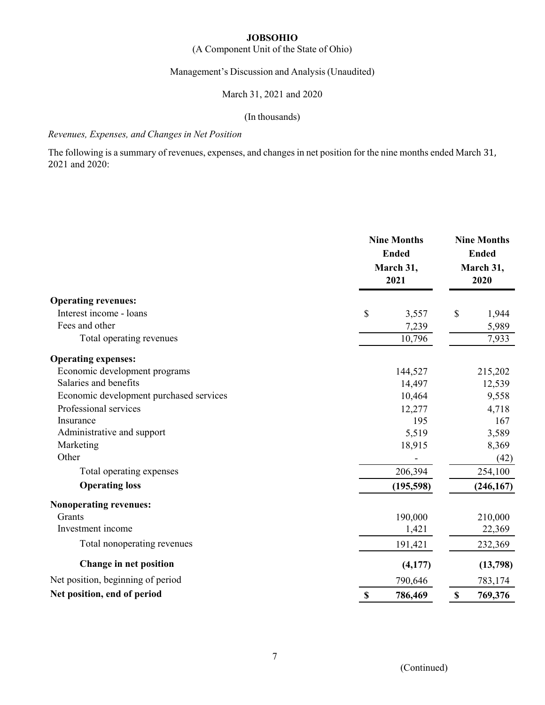# (A Component Unit of the State of Ohio)

# Management's Discussion and Analysis (Unaudited)

# March 31, 2021 and 2020

## (In thousands)

# *Revenues, Expenses, and Changes in Net Position*

The following is a summary of revenues, expenses, and changes in net position for the nine months ended March 31, 2021 and 2020:

|                                         | <b>Nine Months</b><br><b>Ended</b><br>March 31,<br>2021 | <b>Nine Months</b><br><b>Ended</b><br>March 31,<br>2020 |  |  |
|-----------------------------------------|---------------------------------------------------------|---------------------------------------------------------|--|--|
| <b>Operating revenues:</b>              |                                                         |                                                         |  |  |
| Interest income - loans                 | $\mathbb{S}$<br>3,557                                   | \$<br>1,944                                             |  |  |
| Fees and other                          | 7,239                                                   | 5,989                                                   |  |  |
| Total operating revenues                | 10,796                                                  | 7,933                                                   |  |  |
| <b>Operating expenses:</b>              |                                                         |                                                         |  |  |
| Economic development programs           | 144,527                                                 | 215,202                                                 |  |  |
| Salaries and benefits                   | 14,497                                                  | 12,539                                                  |  |  |
| Economic development purchased services | 10,464                                                  | 9,558                                                   |  |  |
| Professional services                   | 12,277                                                  | 4,718                                                   |  |  |
| Insurance                               | 195                                                     | 167                                                     |  |  |
| Administrative and support              | 5,519                                                   | 3,589                                                   |  |  |
| Marketing                               | 18,915                                                  | 8,369                                                   |  |  |
| Other                                   |                                                         | (42)                                                    |  |  |
| Total operating expenses                | 206,394                                                 | 254,100                                                 |  |  |
| <b>Operating loss</b>                   | (195, 598)                                              | (246, 167)                                              |  |  |
| <b>Nonoperating revenues:</b>           |                                                         |                                                         |  |  |
| Grants                                  | 190,000                                                 | 210,000                                                 |  |  |
| Investment income                       | 1,421                                                   | 22,369                                                  |  |  |
| Total nonoperating revenues             | 191,421                                                 | 232,369                                                 |  |  |
| Change in net position                  | (4,177)                                                 | (13,798)                                                |  |  |
| Net position, beginning of period       | 790,646                                                 | 783,174                                                 |  |  |
| Net position, end of period             | $\boldsymbol{\mathsf{S}}$<br>786,469                    | $\mathbb{S}$<br>769,376                                 |  |  |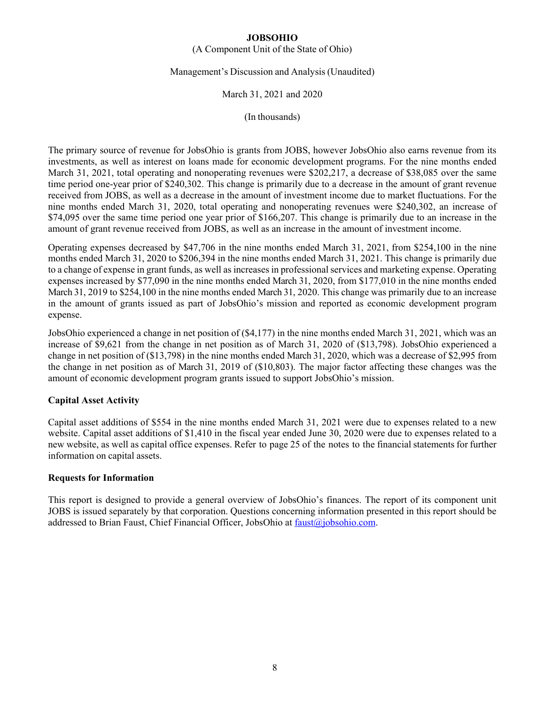## (A Component Unit of the State of Ohio)

## Management's Discussion and Analysis (Unaudited)

## March 31, 2021 and 2020

(In thousands)

The primary source of revenue for JobsOhio is grants from JOBS, however JobsOhio also earns revenue from its investments, as well as interest on loans made for economic development programs. For the nine months ended March 31, 2021, total operating and nonoperating revenues were \$202,217, a decrease of \$38,085 over the same time period one-year prior of \$240,302. This change is primarily due to a decrease in the amount of grant revenue received from JOBS, as well as a decrease in the amount of investment income due to market fluctuations. For the nine months ended March 31, 2020, total operating and nonoperating revenues were \$240,302, an increase of \$74,095 over the same time period one year prior of \$166,207. This change is primarily due to an increase in the amount of grant revenue received from JOBS, as well as an increase in the amount of investment income.

Operating expenses decreased by \$47,706 in the nine months ended March 31, 2021, from \$254,100 in the nine months ended March 31, 2020 to \$206,394 in the nine months ended March 31, 2021. This change is primarily due to a change of expense in grant funds, as well as increases in professional services and marketing expense. Operating expenses increased by \$77,090 in the nine months ended March 31, 2020, from \$177,010 in the nine months ended March 31, 2019 to \$254,100 in the nine months ended March 31, 2020. This change was primarily due to an increase in the amount of grants issued as part of JobsOhio's mission and reported as economic development program expense.

JobsOhio experienced a change in net position of (\$4,177) in the nine months ended March 31, 2021, which was an increase of \$9,621 from the change in net position as of March 31, 2020 of (\$13,798). JobsOhio experienced a change in net position of (\$13,798) in the nine months ended March 31, 2020, which was a decrease of \$2,995 from the change in net position as of March 31, 2019 of (\$10,803). The major factor affecting these changes was the amount of economic development program grants issued to support JobsOhio's mission.

## **Capital Asset Activity**

Capital asset additions of \$554 in the nine months ended March 31, 2021 were due to expenses related to a new website. Capital asset additions of \$1,410 in the fiscal year ended June 30, 2020 were due to expenses related to a new website, as well as capital office expenses. Refer to page 25 of the notes to the financial statements for further information on capital assets.

## **Requests for Information**

This report is designed to provide a general overview of JobsOhio's finances. The report of its component unit JOBS is issued separately by that corporation. Questions concerning information presented in this report should be addressed to Brian Faust, Chief Financial Officer, JobsOhio at faust@jobsohio.com.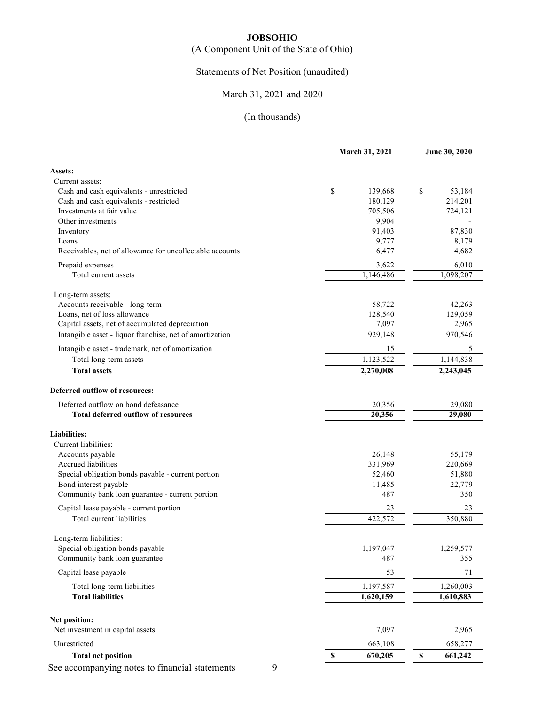# (A Component Unit of the State of Ohio)

# Statements of Net Position (unaudited)

# March 31, 2021 and 2020

|                                                          | <b>March 31, 2021</b> | June 30, 2020 |  |
|----------------------------------------------------------|-----------------------|---------------|--|
| Assets:                                                  |                       |               |  |
| Current assets:                                          |                       |               |  |
| Cash and cash equivalents - unrestricted                 | \$<br>139,668         | \$<br>53,184  |  |
| Cash and cash equivalents - restricted                   | 180,129               | 214,201       |  |
| Investments at fair value                                | 705,506               | 724,121       |  |
| Other investments                                        | 9,904                 |               |  |
| Inventory                                                | 91,403                | 87,830        |  |
| Loans                                                    | 9,777                 | 8,179         |  |
| Receivables, net of allowance for uncollectable accounts | 6,477                 | 4,682         |  |
| Prepaid expenses                                         | 3,622                 | 6,010         |  |
| Total current assets                                     | 1,146,486             | 1,098,207     |  |
| Long-term assets:                                        |                       |               |  |
| Accounts receivable - long-term                          | 58,722                | 42,263        |  |
| Loans, net of loss allowance                             | 128,540               | 129,059       |  |
| Capital assets, net of accumulated depreciation          | 7,097                 | 2,965         |  |
| Intangible asset - liquor franchise, net of amortization | 929,148               | 970,546       |  |
| Intangible asset - trademark, net of amortization        | 15                    | 5             |  |
| Total long-term assets                                   | 1,123,522             | 1,144,838     |  |
| <b>Total assets</b>                                      | 2,270,008             | 2,243,045     |  |
| Deferred outflow of resources:                           |                       |               |  |
| Deferred outflow on bond defeasance                      | 20,356                | 29,080        |  |
| <b>Total deferred outflow of resources</b>               | 20,356                | 29,080        |  |
| <b>Liabilities:</b>                                      |                       |               |  |
| Current liabilities:                                     |                       |               |  |
| Accounts payable                                         | 26,148                | 55,179        |  |
| Accrued liabilities                                      | 331,969               | 220,669       |  |
| Special obligation bonds payable - current portion       | 52,460                | 51,880        |  |
| Bond interest payable                                    | 11,485                | 22,779        |  |
| Community bank loan guarantee - current portion          | 487                   | 350           |  |
| Capital lease payable - current portion                  | 23                    | 23            |  |
| Total current liabilities                                | 422,572               | 350,880       |  |
| Long-term liabilities:                                   |                       |               |  |
| Special obligation bonds payable                         | 1,197,047             | 1,259,577     |  |
| Community bank loan guarantee                            | 487                   | 355           |  |
| Capital lease payable                                    | 53                    | 71            |  |
| Total long-term liabilities                              | 1,197,587             | 1,260,003     |  |
| <b>Total liabilities</b>                                 | 1,620,159             | 1,610,883     |  |
| Net position:                                            |                       |               |  |
| Net investment in capital assets                         | 7,097                 | 2,965         |  |
| Unrestricted                                             | 663,108               | 658,277       |  |
| <b>Total net position</b>                                | 670,205<br>S          | \$<br>661,242 |  |
| 9<br>See accompanying notes to financial statements      |                       |               |  |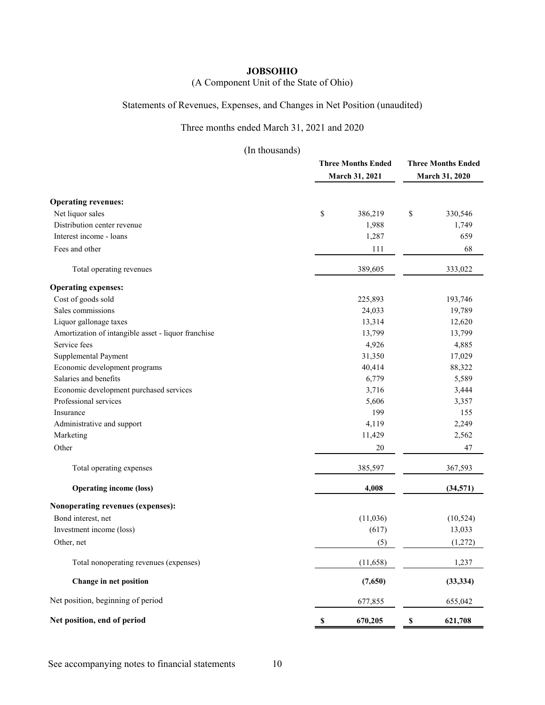# (A Component Unit of the State of Ohio)

# Statements of Revenues, Expenses, and Changes in Net Position (unaudited)

# Three months ended March 31, 2021 and 2020

(In thousands)

|                                                     | <b>Three Months Ended</b><br>March 31, 2021 | <b>Three Months Ended</b><br>March 31, 2020 |  |
|-----------------------------------------------------|---------------------------------------------|---------------------------------------------|--|
|                                                     |                                             |                                             |  |
| <b>Operating revenues:</b>                          |                                             |                                             |  |
| Net liquor sales                                    | \$<br>386,219                               | \$<br>330,546                               |  |
| Distribution center revenue                         | 1,988                                       | 1,749                                       |  |
| Interest income - loans                             | 1,287                                       | 659                                         |  |
| Fees and other                                      | 111                                         | 68                                          |  |
| Total operating revenues                            | 389,605                                     | 333,022                                     |  |
| <b>Operating expenses:</b>                          |                                             |                                             |  |
| Cost of goods sold                                  | 225,893                                     | 193,746                                     |  |
| Sales commissions                                   | 24,033                                      | 19,789                                      |  |
| Liquor gallonage taxes                              | 13,314                                      | 12,620                                      |  |
| Amortization of intangible asset - liquor franchise | 13,799                                      | 13,799                                      |  |
| Service fees                                        | 4,926                                       | 4,885                                       |  |
| Supplemental Payment                                | 31,350                                      | 17,029                                      |  |
| Economic development programs                       | 40,414                                      | 88,322                                      |  |
| Salaries and benefits                               | 6,779                                       | 5,589                                       |  |
| Economic development purchased services             | 3,716                                       | 3,444                                       |  |
| Professional services                               | 5,606                                       | 3,357                                       |  |
| Insurance                                           | 199                                         | 155                                         |  |
| Administrative and support                          | 4,119                                       | 2,249                                       |  |
| Marketing                                           | 11,429                                      | 2,562                                       |  |
| Other                                               | 20                                          | 47                                          |  |
| Total operating expenses                            | 385,597                                     | 367,593                                     |  |
| <b>Operating income (loss)</b>                      | 4,008                                       | (34, 571)                                   |  |
| Nonoperating revenues (expenses):                   |                                             |                                             |  |
| Bond interest, net                                  | (11,036)                                    | (10, 524)                                   |  |
| Investment income (loss)                            | (617)                                       | 13,033                                      |  |
| Other, net                                          | (5)                                         | (1,272)                                     |  |
| Total nonoperating revenues (expenses)              | (11,658)                                    | 1,237                                       |  |
| Change in net position                              | (7,650)                                     | (33, 334)                                   |  |
| Net position, beginning of period                   | 677,855                                     | 655,042                                     |  |
| Net position, end of period                         | $\mathbb S$<br>670,205                      | 621,708<br>\$                               |  |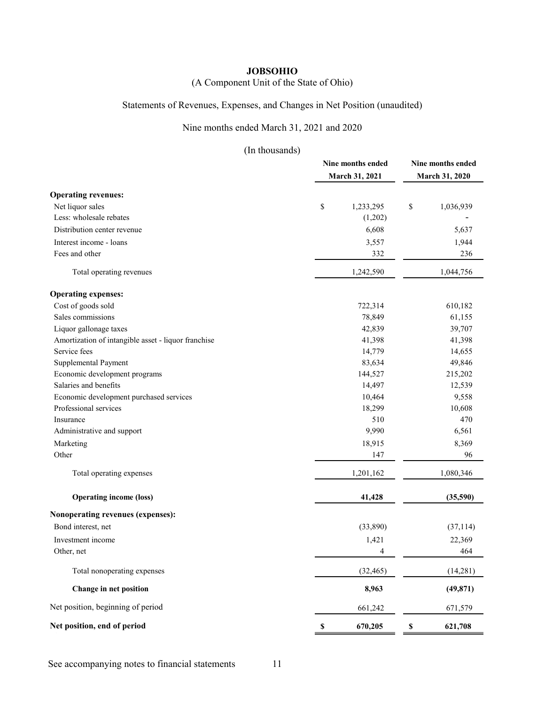# (A Component Unit of the State of Ohio)

# Statements of Revenues, Expenses, and Changes in Net Position (unaudited)

# Nine months ended March 31, 2021 and 2020

|                                                     | Nine months ended<br>March 31, 2021 | Nine months ended<br>March 31, 2020 |  |
|-----------------------------------------------------|-------------------------------------|-------------------------------------|--|
| <b>Operating revenues:</b>                          |                                     |                                     |  |
| Net liquor sales                                    | \$<br>1,233,295                     | $\$$<br>1,036,939                   |  |
| Less: wholesale rebates                             | (1,202)                             |                                     |  |
| Distribution center revenue                         | 6,608                               | 5,637                               |  |
| Interest income - loans                             | 3,557                               | 1,944                               |  |
| Fees and other                                      | 332                                 | 236                                 |  |
| Total operating revenues                            | 1,242,590                           | 1,044,756                           |  |
| <b>Operating expenses:</b>                          |                                     |                                     |  |
| Cost of goods sold                                  | 722,314                             | 610,182                             |  |
| Sales commissions                                   | 78,849                              | 61,155                              |  |
| Liquor gallonage taxes                              | 42,839                              | 39,707                              |  |
| Amortization of intangible asset - liquor franchise | 41,398                              | 41,398                              |  |
| Service fees                                        | 14,779                              | 14,655                              |  |
| Supplemental Payment                                | 83,634                              | 49,846                              |  |
| Economic development programs                       | 144,527                             | 215,202                             |  |
| Salaries and benefits                               | 14,497                              | 12,539                              |  |
| Economic development purchased services             | 10,464                              | 9,558                               |  |
| Professional services                               | 18,299                              | 10,608                              |  |
| Insurance                                           | 510                                 | 470                                 |  |
| Administrative and support                          | 9,990                               | 6,561                               |  |
| Marketing                                           | 18,915                              | 8,369                               |  |
| Other                                               | 147                                 | 96                                  |  |
| Total operating expenses                            | 1,201,162                           | 1,080,346                           |  |
| <b>Operating income (loss)</b>                      | 41,428                              | (35,590)                            |  |
| Nonoperating revenues (expenses):                   |                                     |                                     |  |
| Bond interest, net                                  | (33,890)                            | (37, 114)                           |  |
| Investment income                                   | 1,421                               | 22,369                              |  |
| Other, net                                          | 4                                   | 464                                 |  |
| Total nonoperating expenses                         | (32, 465)                           | (14, 281)                           |  |
| Change in net position                              | 8,963                               | (49, 871)                           |  |
| Net position, beginning of period                   | 661,242                             | 671,579                             |  |
| Net position, end of period                         | 670,205                             | 621,708<br>S                        |  |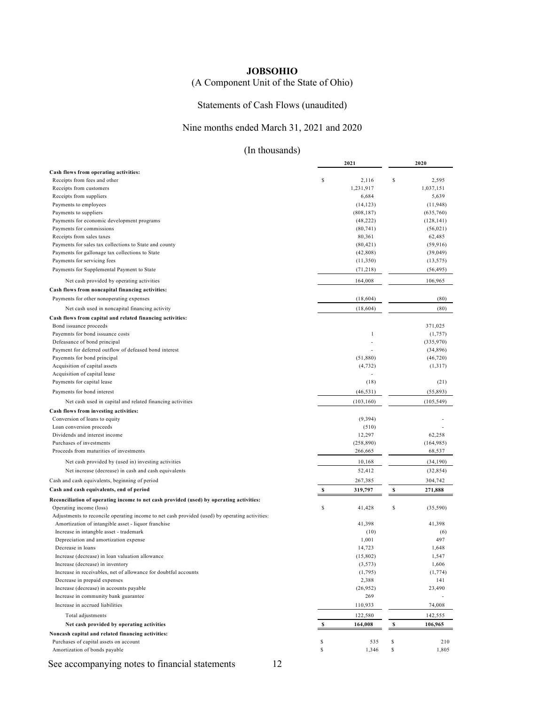# (A Component Unit of the State of Ohio)

# Statements of Cash Flows (unaudited)

## Nine months ended March 31, 2021 and 2020

# (In thousands)

|                                                                                                                           |    | 2021         |    | 2020       |
|---------------------------------------------------------------------------------------------------------------------------|----|--------------|----|------------|
| Cash flows from operating activities:                                                                                     |    |              |    |            |
| Receipts from fees and other                                                                                              | \$ | 2,116        | \$ | 2,595      |
| Receipts from customers                                                                                                   |    | 1,231,917    |    | 1,037,151  |
| Receipts from suppliers                                                                                                   |    | 6,684        |    | 5,639      |
| Payments to employees                                                                                                     |    | (14, 123)    |    | (11, 948)  |
| Payments to suppliers                                                                                                     |    | (808, 187)   |    | (635,760)  |
| Payments for economic development programs                                                                                |    | (48, 222)    |    | (128, 141) |
| Payments for commissions                                                                                                  |    | (80, 741)    |    | (56, 021)  |
| Receipts from sales taxes                                                                                                 |    | 80,361       |    | 62,485     |
| Payments for sales tax collections to State and county                                                                    |    | (80, 421)    |    | (59, 916)  |
| Payments for gallonage tax collections to State                                                                           |    | (42, 808)    |    | (39, 049)  |
| Payments for servicing fees                                                                                               |    | (11,350)     |    | (13, 575)  |
| Payments for Supplemental Payment to State                                                                                |    | (71, 218)    |    | (56, 495)  |
| Net cash provided by operating activities                                                                                 |    | 164,008      |    | 106,965    |
| Cash flows from noncapital financing activities:                                                                          |    |              |    |            |
| Payments for other nonoperating expenses                                                                                  |    | (18, 604)    |    | (80)       |
| Net cash used in noncapital financing activity                                                                            |    | (18, 604)    |    | (80)       |
| Cash flows from capital and related financing activities:                                                                 |    |              |    |            |
| Bond issuance proceeds                                                                                                    |    |              |    | 371,025    |
| Payemnts for bond issuance costs                                                                                          |    | $\mathbf{1}$ |    | (1,757)    |
| Defeasance of bond principal                                                                                              |    |              |    | (335,970)  |
| Payment for deferred outflow of defeased bond interest                                                                    |    |              |    | (34,896)   |
| Payemnts for bond principal                                                                                               |    | (51,880)     |    | (46, 720)  |
| Acquisition of capital assets                                                                                             |    | (4, 732)     |    | (1,317)    |
| Acquisition of capital lease                                                                                              |    |              |    |            |
| Payments for capital lease                                                                                                |    | (18)         |    | (21)       |
| Payments for bond interest                                                                                                |    | (46, 531)    |    | (55, 893)  |
| Net cash used in capital and related financing activities                                                                 |    | (103, 160)   |    | (105, 549) |
| Cash flows from investing activities:                                                                                     |    |              |    |            |
| Conversion of loans to equity                                                                                             |    | (9, 394)     |    |            |
| Loan conversion proceeds                                                                                                  |    | (510)        |    |            |
| Dividends and interest income                                                                                             |    | 12,297       |    | 62,258     |
| Purchases of investments                                                                                                  |    | (258, 890)   |    | (164, 985) |
| Proceeds from maturities of investments                                                                                   |    | 266,665      |    | 68,537     |
| Net cash provided by (used in) investing activities                                                                       |    | 10,168       |    | (34, 190)  |
| Net increase (decrease) in cash and cash equivalents                                                                      |    | 52,412       |    | (32, 854)  |
| Cash and cash equivalents, beginning of period                                                                            |    | 267,385      |    | 304,742    |
| Cash and cash equivalents, end of period                                                                                  | S  | 319,797      | S  | 271,888    |
| Reconciliation of operating income to net cash provided (used) by operating activities:                                   | \$ |              |    |            |
| Operating income (loss)<br>Adjustments to reconcile operating income to net cash provided (used) by operating activities: |    | 41,428       | \$ | (35,590)   |
| Amortization of intangible asset - liquor franchise                                                                       |    | 41,398       |    | 41,398     |
| Increase in intangble asset - trademark                                                                                   |    | (10)         |    | (6)        |
| Depreciation and amortization expense                                                                                     |    | 1,001        |    | 497        |
| Decrease in loans                                                                                                         |    | 14,723       |    | 1,648      |
| Increase (decrease) in loan valuation allowance                                                                           |    | (15,802)     |    | 1,547      |
| Increase (decrease) in inventory                                                                                          |    | (3, 573)     |    | 1,606      |
| Increase in receivables, net of allowance for doubtful accounts                                                           |    | (1,795)      |    | (1, 774)   |
| Decrease in prepaid expenses                                                                                              |    | 2,388        |    | 141        |
| Increase (decrease) in accounts payable                                                                                   |    | (26,952)     |    | 23,490     |
| Increase in community bank guarantee                                                                                      |    | 269          |    |            |
| Increase in accrued liabilities                                                                                           |    | 110,933      |    | 74,008     |
| Total adjustments                                                                                                         |    | 122,580      |    | 142,555    |
| Net cash provided by operating activities                                                                                 | s  | 164,008      | \$ | 106,965    |
| Noncash capital and related financing activities:                                                                         |    |              |    |            |
| Purchases of capital assets on account                                                                                    | \$ | 535          | S  | 210        |
| Amortization of bonds payable                                                                                             | \$ | 1,346        | \$ | 1,805      |
|                                                                                                                           |    |              |    |            |

See accompanying notes to financial statements 12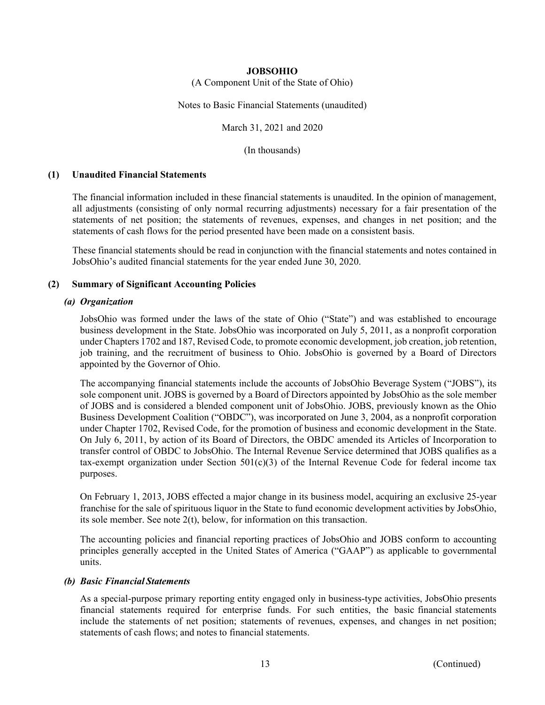(A Component Unit of the State of Ohio)

Notes to Basic Financial Statements (unaudited)

March 31, 2021 and 2020

(In thousands)

#### **(1) Unaudited Financial Statements**

The financial information included in these financial statements is unaudited. In the opinion of management, all adjustments (consisting of only normal recurring adjustments) necessary for a fair presentation of the statements of net position; the statements of revenues, expenses, and changes in net position; and the statements of cash flows for the period presented have been made on a consistent basis.

These financial statements should be read in conjunction with the financial statements and notes contained in JobsOhio's audited financial statements for the year ended June 30, 2020.

## **(2) Summary of Significant Accounting Policies**

### *(a) Organization*

JobsOhio was formed under the laws of the state of Ohio ("State") and was established to encourage business development in the State. JobsOhio was incorporated on July 5, 2011, as a nonprofit corporation under Chapters 1702 and 187, Revised Code, to promote economic development, job creation, job retention, job training, and the recruitment of business to Ohio. JobsOhio is governed by a Board of Directors appointed by the Governor of Ohio.

The accompanying financial statements include the accounts of JobsOhio Beverage System ("JOBS"), its sole component unit. JOBS is governed by a Board of Directors appointed by JobsOhio as the sole member of JOBS and is considered a blended component unit of JobsOhio. JOBS, previously known as the Ohio Business Development Coalition ("OBDC"), was incorporated on June 3, 2004, as a nonprofit corporation under Chapter 1702, Revised Code, for the promotion of business and economic development in the State. On July 6, 2011, by action of its Board of Directors, the OBDC amended its Articles of Incorporation to transfer control of OBDC to JobsOhio. The Internal Revenue Service determined that JOBS qualifies as a tax-exempt organization under Section  $501(c)(3)$  of the Internal Revenue Code for federal income tax purposes.

On February 1, 2013, JOBS effected a major change in its business model, acquiring an exclusive 25-year franchise for the sale of spirituous liquor in the State to fund economic development activities by JobsOhio, its sole member. See note 2(t), below, for information on this transaction.

The accounting policies and financial reporting practices of JobsOhio and JOBS conform to accounting principles generally accepted in the United States of America ("GAAP") as applicable to governmental units.

#### *(b) Basic Financial Statements*

As a special-purpose primary reporting entity engaged only in business-type activities, JobsOhio presents financial statements required for enterprise funds. For such entities, the basic financial statements include the statements of net position; statements of revenues, expenses, and changes in net position; statements of cash flows; and notes to financial statements.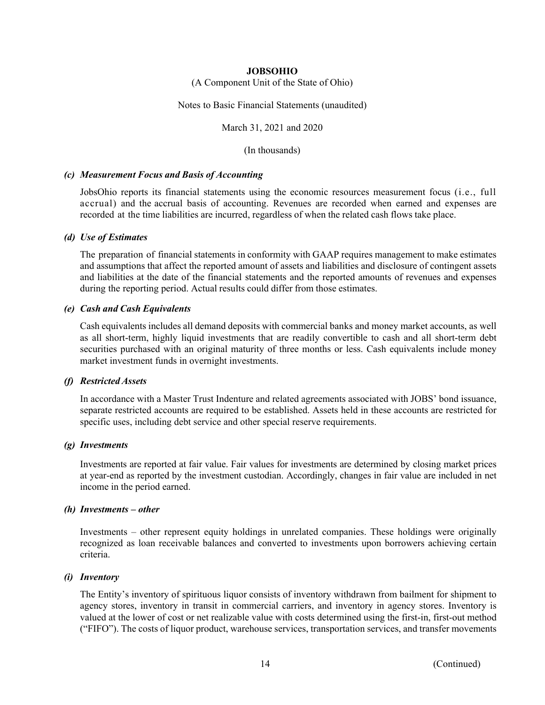(A Component Unit of the State of Ohio)

Notes to Basic Financial Statements (unaudited)

March 31, 2021 and 2020

(In thousands)

#### *(c) Measurement Focus and Basis of Accounting*

JobsOhio reports its financial statements using the economic resources measurement focus (i.e., full accrual) and the accrual basis of accounting. Revenues are recorded when earned and expenses are recorded at the time liabilities are incurred, regardless of when the related cash flows take place.

### *(d) Use of Estimates*

The preparation of financial statements in conformity with GAAP requires management to make estimates and assumptions that affect the reported amount of assets and liabilities and disclosure of contingent assets and liabilities at the date of the financial statements and the reported amounts of revenues and expenses during the reporting period. Actual results could differ from those estimates.

## *(e) Cash and Cash Equivalents*

Cash equivalents includes all demand deposits with commercial banks and money market accounts, as well as all short-term, highly liquid investments that are readily convertible to cash and all short-term debt securities purchased with an original maturity of three months or less. Cash equivalents include money market investment funds in overnight investments.

## *(f) Restricted Assets*

In accordance with a Master Trust Indenture and related agreements associated with JOBS' bond issuance, separate restricted accounts are required to be established. Assets held in these accounts are restricted for specific uses, including debt service and other special reserve requirements.

## *(g) Investments*

Investments are reported at fair value. Fair values for investments are determined by closing market prices at year-end as reported by the investment custodian. Accordingly, changes in fair value are included in net income in the period earned.

#### *(h) Investments – other*

Investments – other represent equity holdings in unrelated companies. These holdings were originally recognized as loan receivable balances and converted to investments upon borrowers achieving certain criteria.

## *(i) Inventory*

The Entity's inventory of spirituous liquor consists of inventory withdrawn from bailment for shipment to agency stores, inventory in transit in commercial carriers, and inventory in agency stores. Inventory is valued at the lower of cost or net realizable value with costs determined using the first-in, first-out method ("FIFO"). The costs of liquor product, warehouse services, transportation services, and transfer movements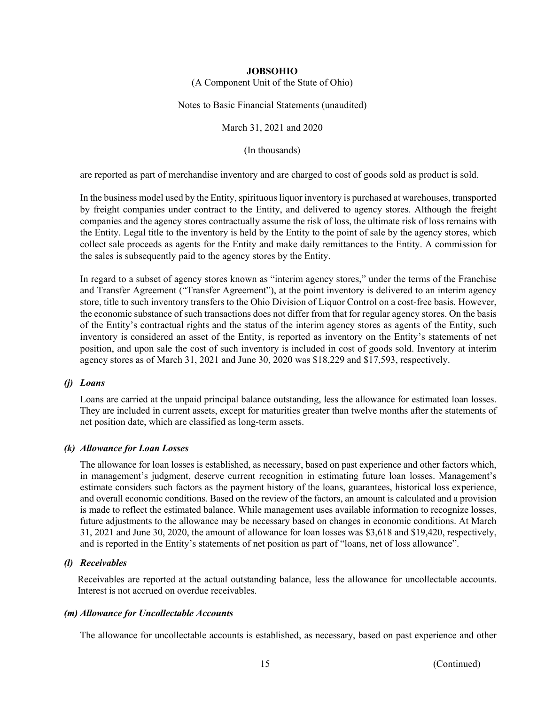(A Component Unit of the State of Ohio)

Notes to Basic Financial Statements (unaudited)

March 31, 2021 and 2020

(In thousands)

are reported as part of merchandise inventory and are charged to cost of goods sold as product is sold.

In the business model used by the Entity, spirituous liquor inventory is purchased at warehouses, transported by freight companies under contract to the Entity, and delivered to agency stores. Although the freight companies and the agency stores contractually assume the risk of loss, the ultimate risk of loss remains with the Entity. Legal title to the inventory is held by the Entity to the point of sale by the agency stores, which collect sale proceeds as agents for the Entity and make daily remittances to the Entity. A commission for the sales is subsequently paid to the agency stores by the Entity.

In regard to a subset of agency stores known as "interim agency stores," under the terms of the Franchise and Transfer Agreement ("Transfer Agreement"), at the point inventory is delivered to an interim agency store, title to such inventory transfers to the Ohio Division of Liquor Control on a cost-free basis. However, the economic substance of such transactions does not differ from that for regular agency stores. On the basis of the Entity's contractual rights and the status of the interim agency stores as agents of the Entity, such inventory is considered an asset of the Entity, is reported as inventory on the Entity's statements of net position, and upon sale the cost of such inventory is included in cost of goods sold. Inventory at interim agency stores as of March 31, 2021 and June 30, 2020 was \$18,229 and \$17,593, respectively.

## *(j) Loans*

Loans are carried at the unpaid principal balance outstanding, less the allowance for estimated loan losses. They are included in current assets, except for maturities greater than twelve months after the statements of net position date, which are classified as long-term assets.

## *(k) Allowance for Loan Losses*

The allowance for loan losses is established, as necessary, based on past experience and other factors which, in management's judgment, deserve current recognition in estimating future loan losses. Management's estimate considers such factors as the payment history of the loans, guarantees, historical loss experience, and overall economic conditions. Based on the review of the factors, an amount is calculated and a provision is made to reflect the estimated balance. While management uses available information to recognize losses, future adjustments to the allowance may be necessary based on changes in economic conditions. At March 31, 2021 and June 30, 2020, the amount of allowance for loan losses was \$3,618 and \$19,420, respectively, and is reported in the Entity's statements of net position as part of "loans, net of loss allowance".

## *(l) Receivables*

 Receivables are reported at the actual outstanding balance, less the allowance for uncollectable accounts. Interest is not accrued on overdue receivables.

#### *(m) Allowance for Uncollectable Accounts*

The allowance for uncollectable accounts is established, as necessary, based on past experience and other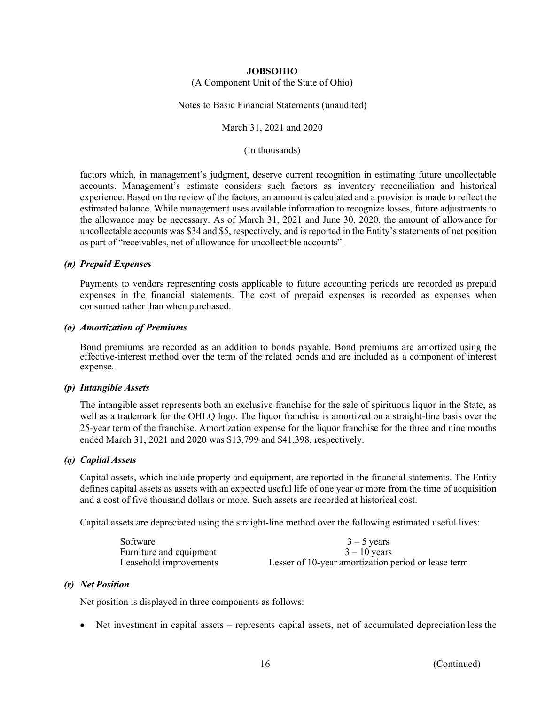(A Component Unit of the State of Ohio)

Notes to Basic Financial Statements (unaudited)

March 31, 2021 and 2020

(In thousands)

factors which, in management's judgment, deserve current recognition in estimating future uncollectable accounts. Management's estimate considers such factors as inventory reconciliation and historical experience. Based on the review of the factors, an amount is calculated and a provision is made to reflect the estimated balance. While management uses available information to recognize losses, future adjustments to the allowance may be necessary. As of March 31, 2021 and June 30, 2020, the amount of allowance for uncollectable accounts was \$34 and \$5, respectively, and is reported in the Entity's statements of net position as part of "receivables, net of allowance for uncollectible accounts".

#### *(n) Prepaid Expenses*

Payments to vendors representing costs applicable to future accounting periods are recorded as prepaid expenses in the financial statements. The cost of prepaid expenses is recorded as expenses when consumed rather than when purchased.

#### *(o) Amortization of Premiums*

Bond premiums are recorded as an addition to bonds payable. Bond premiums are amortized using the effective-interest method over the term of the related bonds and are included as a component of interest expense.

#### *(p) Intangible Assets*

The intangible asset represents both an exclusive franchise for the sale of spirituous liquor in the State, as well as a trademark for the OHLQ logo. The liquor franchise is amortized on a straight-line basis over the 25-year term of the franchise. Amortization expense for the liquor franchise for the three and nine months ended March 31, 2021 and 2020 was \$13,799 and \$41,398, respectively.

## *(q) Capital Assets*

Capital assets, which include property and equipment, are reported in the financial statements. The Entity defines capital assets as assets with an expected useful life of one year or more from the time of acquisition and a cost of five thousand dollars or more. Such assets are recorded at historical cost.

Capital assets are depreciated using the straight-line method over the following estimated useful lives:

| Software                | $3 - 5$ years                                       |
|-------------------------|-----------------------------------------------------|
| Furniture and equipment | $3 - 10$ vears                                      |
| Leasehold improvements  | Lesser of 10-year amortization period or lease term |

#### *(r) Net Position*

Net position is displayed in three components as follows:

Net investment in capital assets – represents capital assets, net of accumulated depreciation less the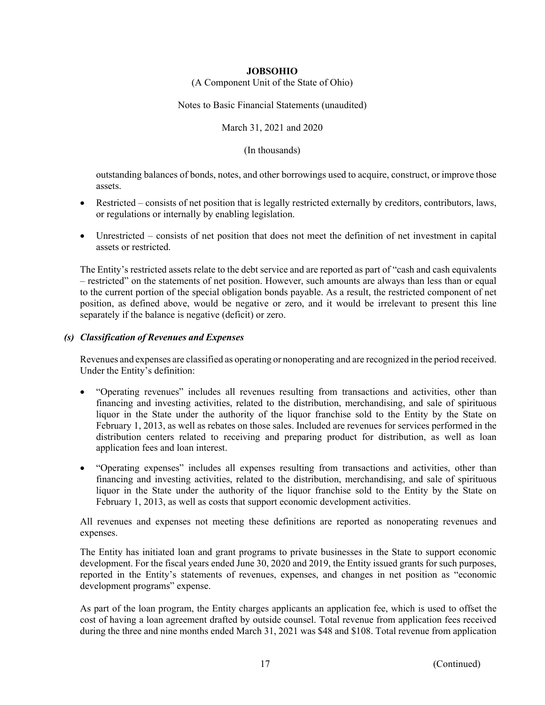(A Component Unit of the State of Ohio)

Notes to Basic Financial Statements (unaudited)

March 31, 2021 and 2020

(In thousands)

outstanding balances of bonds, notes, and other borrowings used to acquire, construct, or improve those assets.

- Restricted consists of net position that is legally restricted externally by creditors, contributors, laws, or regulations or internally by enabling legislation.
- Unrestricted consists of net position that does not meet the definition of net investment in capital assets or restricted.

The Entity's restricted assets relate to the debt service and are reported as part of "cash and cash equivalents – restricted" on the statements of net position. However, such amounts are always than less than or equal to the current portion of the special obligation bonds payable. As a result, the restricted component of net position, as defined above, would be negative or zero, and it would be irrelevant to present this line separately if the balance is negative (deficit) or zero.

## *(s) Classification of Revenues and Expenses*

Revenues and expenses are classified as operating or nonoperating and are recognized in the period received. Under the Entity's definition:

- "Operating revenues" includes all revenues resulting from transactions and activities, other than financing and investing activities, related to the distribution, merchandising, and sale of spirituous liquor in the State under the authority of the liquor franchise sold to the Entity by the State on February 1, 2013, as well as rebates on those sales. Included are revenues for services performed in the distribution centers related to receiving and preparing product for distribution, as well as loan application fees and loan interest.
- "Operating expenses" includes all expenses resulting from transactions and activities, other than financing and investing activities, related to the distribution, merchandising, and sale of spirituous liquor in the State under the authority of the liquor franchise sold to the Entity by the State on February 1, 2013, as well as costs that support economic development activities.

All revenues and expenses not meeting these definitions are reported as nonoperating revenues and expenses.

The Entity has initiated loan and grant programs to private businesses in the State to support economic development. For the fiscal years ended June 30, 2020 and 2019, the Entity issued grants for such purposes, reported in the Entity's statements of revenues, expenses, and changes in net position as "economic development programs" expense.

As part of the loan program, the Entity charges applicants an application fee, which is used to offset the cost of having a loan agreement drafted by outside counsel. Total revenue from application fees received during the three and nine months ended March 31, 2021 was \$48 and \$108. Total revenue from application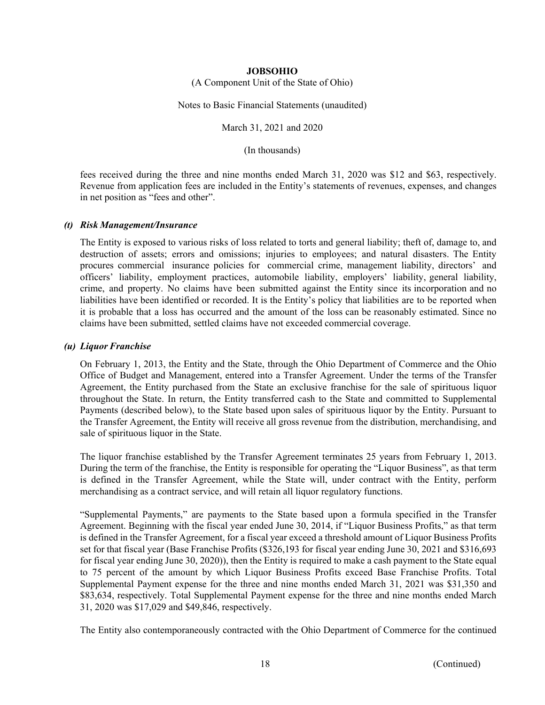(A Component Unit of the State of Ohio)

Notes to Basic Financial Statements (unaudited)

March 31, 2021 and 2020

(In thousands)

fees received during the three and nine months ended March 31, 2020 was \$12 and \$63, respectively. Revenue from application fees are included in the Entity's statements of revenues, expenses, and changes in net position as "fees and other".

## *(t) Risk Management/Insurance*

The Entity is exposed to various risks of loss related to torts and general liability; theft of, damage to, and destruction of assets; errors and omissions; injuries to employees; and natural disasters. The Entity procures commercial insurance policies for commercial crime, management liability, directors' and officers' liability, employment practices, automobile liability, employers' liability, general liability, crime, and property. No claims have been submitted against the Entity since its incorporation and no liabilities have been identified or recorded. It is the Entity's policy that liabilities are to be reported when it is probable that a loss has occurred and the amount of the loss can be reasonably estimated. Since no claims have been submitted, settled claims have not exceeded commercial coverage.

### *(u) Liquor Franchise*

On February 1, 2013, the Entity and the State, through the Ohio Department of Commerce and the Ohio Office of Budget and Management, entered into a Transfer Agreement. Under the terms of the Transfer Agreement, the Entity purchased from the State an exclusive franchise for the sale of spirituous liquor throughout the State. In return, the Entity transferred cash to the State and committed to Supplemental Payments (described below), to the State based upon sales of spirituous liquor by the Entity. Pursuant to the Transfer Agreement, the Entity will receive all gross revenue from the distribution, merchandising, and sale of spirituous liquor in the State.

The liquor franchise established by the Transfer Agreement terminates 25 years from February 1, 2013. During the term of the franchise, the Entity is responsible for operating the "Liquor Business", as that term is defined in the Transfer Agreement, while the State will, under contract with the Entity, perform merchandising as a contract service, and will retain all liquor regulatory functions.

"Supplemental Payments," are payments to the State based upon a formula specified in the Transfer Agreement. Beginning with the fiscal year ended June 30, 2014, if "Liquor Business Profits," as that term is defined in the Transfer Agreement, for a fiscal year exceed a threshold amount of Liquor Business Profits set for that fiscal year (Base Franchise Profits (\$326,193 for fiscal year ending June 30, 2021 and \$316,693 for fiscal year ending June 30, 2020)), then the Entity is required to make a cash payment to the State equal to 75 percent of the amount by which Liquor Business Profits exceed Base Franchise Profits. Total Supplemental Payment expense for the three and nine months ended March 31, 2021 was \$31,350 and \$83,634, respectively. Total Supplemental Payment expense for the three and nine months ended March 31, 2020 was \$17,029 and \$49,846, respectively.

The Entity also contemporaneously contracted with the Ohio Department of Commerce for the continued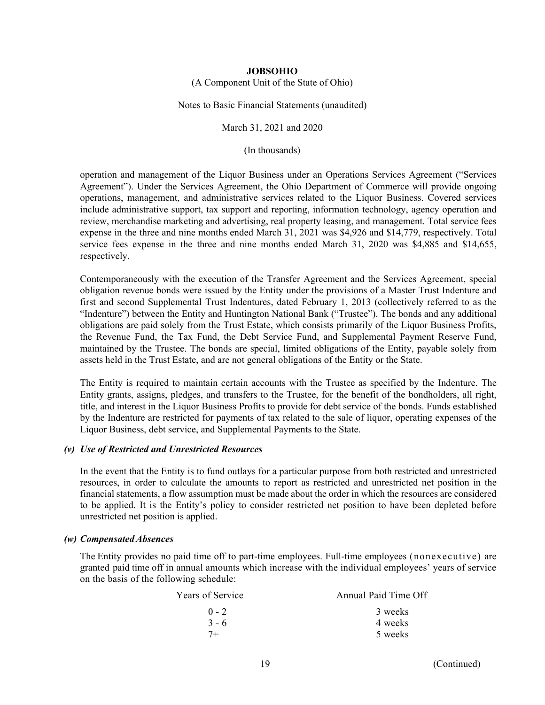(A Component Unit of the State of Ohio)

Notes to Basic Financial Statements (unaudited)

March 31, 2021 and 2020

(In thousands)

operation and management of the Liquor Business under an Operations Services Agreement ("Services Agreement"). Under the Services Agreement, the Ohio Department of Commerce will provide ongoing operations, management, and administrative services related to the Liquor Business. Covered services include administrative support, tax support and reporting, information technology, agency operation and review, merchandise marketing and advertising, real property leasing, and management. Total service fees expense in the three and nine months ended March 31, 2021 was \$4,926 and \$14,779, respectively. Total service fees expense in the three and nine months ended March 31, 2020 was \$4,885 and \$14,655, respectively.

Contemporaneously with the execution of the Transfer Agreement and the Services Agreement, special obligation revenue bonds were issued by the Entity under the provisions of a Master Trust Indenture and first and second Supplemental Trust Indentures, dated February 1, 2013 (collectively referred to as the "Indenture") between the Entity and Huntington National Bank ("Trustee"). The bonds and any additional obligations are paid solely from the Trust Estate, which consists primarily of the Liquor Business Profits, the Revenue Fund, the Tax Fund, the Debt Service Fund, and Supplemental Payment Reserve Fund, maintained by the Trustee. The bonds are special, limited obligations of the Entity, payable solely from assets held in the Trust Estate, and are not general obligations of the Entity or the State.

The Entity is required to maintain certain accounts with the Trustee as specified by the Indenture. The Entity grants, assigns, pledges, and transfers to the Trustee, for the benefit of the bondholders, all right, title, and interest in the Liquor Business Profits to provide for debt service of the bonds. Funds established by the Indenture are restricted for payments of tax related to the sale of liquor, operating expenses of the Liquor Business, debt service, and Supplemental Payments to the State.

#### *(v) Use of Restricted and Unrestricted Resources*

In the event that the Entity is to fund outlays for a particular purpose from both restricted and unrestricted resources, in order to calculate the amounts to report as restricted and unrestricted net position in the financial statements, a flow assumption must be made about the order in which the resources are considered to be applied. It is the Entity's policy to consider restricted net position to have been depleted before unrestricted net position is applied.

#### *(w) Compensated Absences*

The Entity provides no paid time off to part-time employees. Full-time employees (nonexecutive) are granted paid time off in annual amounts which increase with the individual employees' years of service on the basis of the following schedule:

| Years of Service | Annual Paid Time Off |  |
|------------------|----------------------|--|
| $0 - 2$          | 3 weeks              |  |
| $3 - 6$          | 4 weeks              |  |
| $7+$             | 5 weeks              |  |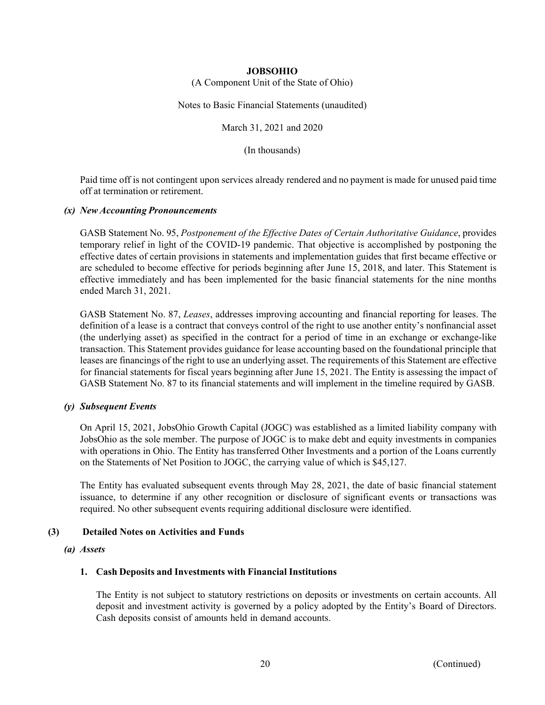(A Component Unit of the State of Ohio)

Notes to Basic Financial Statements (unaudited)

March 31, 2021 and 2020

(In thousands)

 Paid time off is not contingent upon services already rendered and no payment is made for unused paid time off at termination or retirement.

## *(x) New Accounting Pronouncements*

GASB Statement No. 95, *Postponement of the Effective Dates of Certain Authoritative Guidance*, provides temporary relief in light of the COVID-19 pandemic. That objective is accomplished by postponing the effective dates of certain provisions in statements and implementation guides that first became effective or are scheduled to become effective for periods beginning after June 15, 2018, and later. This Statement is effective immediately and has been implemented for the basic financial statements for the nine months ended March 31, 2021.

GASB Statement No. 87, *Leases*, addresses improving accounting and financial reporting for leases. The definition of a lease is a contract that conveys control of the right to use another entity's nonfinancial asset (the underlying asset) as specified in the contract for a period of time in an exchange or exchange-like transaction. This Statement provides guidance for lease accounting based on the foundational principle that leases are financings of the right to use an underlying asset. The requirements of this Statement are effective for financial statements for fiscal years beginning after June 15, 2021. The Entity is assessing the impact of GASB Statement No. 87 to its financial statements and will implement in the timeline required by GASB.

## *(y) Subsequent Events*

On April 15, 2021, JobsOhio Growth Capital (JOGC) was established as a limited liability company with JobsOhio as the sole member. The purpose of JOGC is to make debt and equity investments in companies with operations in Ohio. The Entity has transferred Other Investments and a portion of the Loans currently on the Statements of Net Position to JOGC, the carrying value of which is \$45,127.

The Entity has evaluated subsequent events through May 28, 2021, the date of basic financial statement issuance, to determine if any other recognition or disclosure of significant events or transactions was required. No other subsequent events requiring additional disclosure were identified.

## **(3) Detailed Notes on Activities and Funds**

#### *(a) Assets*

## **1. Cash Deposits and Investments with Financial Institutions**

The Entity is not subject to statutory restrictions on deposits or investments on certain accounts. All deposit and investment activity is governed by a policy adopted by the Entity's Board of Directors. Cash deposits consist of amounts held in demand accounts.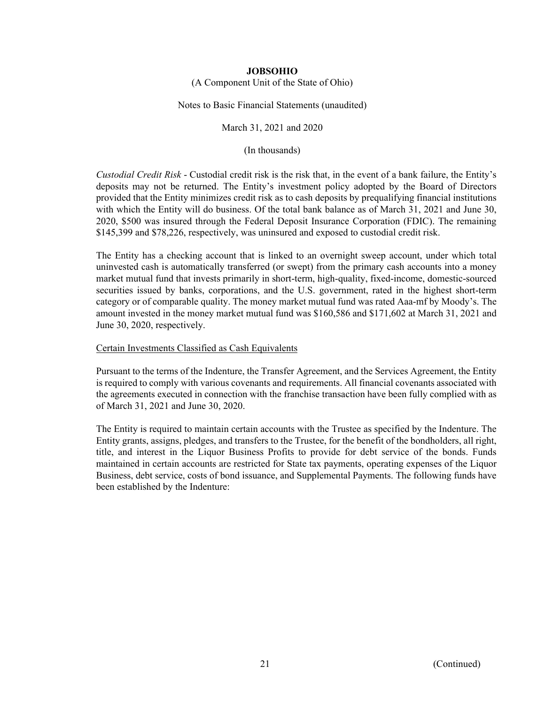(A Component Unit of the State of Ohio)

Notes to Basic Financial Statements (unaudited)

March 31, 2021 and 2020

(In thousands)

*Custodial Credit Risk* - Custodial credit risk is the risk that, in the event of a bank failure, the Entity's deposits may not be returned. The Entity's investment policy adopted by the Board of Directors provided that the Entity minimizes credit risk as to cash deposits by prequalifying financial institutions with which the Entity will do business. Of the total bank balance as of March 31, 2021 and June 30, 2020, \$500 was insured through the Federal Deposit Insurance Corporation (FDIC). The remaining \$145,399 and \$78,226, respectively, was uninsured and exposed to custodial credit risk.

The Entity has a checking account that is linked to an overnight sweep account, under which total uninvested cash is automatically transferred (or swept) from the primary cash accounts into a money market mutual fund that invests primarily in short-term, high-quality, fixed-income, domestic-sourced securities issued by banks, corporations, and the U.S. government, rated in the highest short-term category or of comparable quality. The money market mutual fund was rated Aaa-mf by Moody's. The amount invested in the money market mutual fund was \$160,586 and \$171,602 at March 31, 2021 and June 30, 2020, respectively.

## Certain Investments Classified as Cash Equivalents

Pursuant to the terms of the Indenture, the Transfer Agreement, and the Services Agreement, the Entity is required to comply with various covenants and requirements. All financial covenants associated with the agreements executed in connection with the franchise transaction have been fully complied with as of March 31, 2021 and June 30, 2020.

The Entity is required to maintain certain accounts with the Trustee as specified by the Indenture. The Entity grants, assigns, pledges, and transfers to the Trustee, for the benefit of the bondholders, all right, title, and interest in the Liquor Business Profits to provide for debt service of the bonds. Funds maintained in certain accounts are restricted for State tax payments, operating expenses of the Liquor Business, debt service, costs of bond issuance, and Supplemental Payments. The following funds have been established by the Indenture: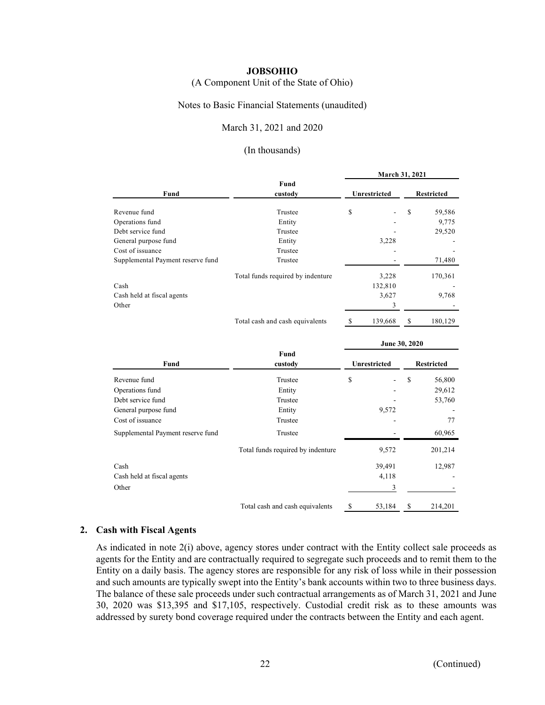(A Component Unit of the State of Ohio)

#### Notes to Basic Financial Statements (unaudited)

## March 31, 2021 and 2020

#### (In thousands)

|                                   |                                   | March 31, 2021 |               |                   |         |
|-----------------------------------|-----------------------------------|----------------|---------------|-------------------|---------|
| Fund                              | Fund<br>custody                   | Unrestricted   |               | <b>Restricted</b> |         |
| Revenue fund                      | Trustee                           | \$             |               | \$                | 59,586  |
| Operations fund                   | Entity                            |                |               |                   | 9,775   |
| Debt service fund                 | Trustee                           |                |               |                   | 29,520  |
| General purpose fund              | Entity                            |                | 3,228         |                   |         |
| Cost of issuance                  | Trustee                           |                |               |                   |         |
| Supplemental Payment reserve fund | Trustee                           |                |               |                   | 71,480  |
|                                   | Total funds required by indenture |                | 3,228         |                   | 170,361 |
| Cash                              |                                   |                | 132,810       |                   |         |
| Cash held at fiscal agents        |                                   |                | 3,627         |                   | 9,768   |
| Other                             |                                   |                | 3             |                   |         |
|                                   | Total cash and cash equivalents   | S              | 139,668       | \$                | 180,129 |
|                                   |                                   |                | June 30, 2020 |                   |         |

|                                   |                                   | JUNC JV, 4040       |        |                   |         |
|-----------------------------------|-----------------------------------|---------------------|--------|-------------------|---------|
| Fund                              | Fund<br>custody                   | <b>Unrestricted</b> |        | <b>Restricted</b> |         |
| Revenue fund                      | Trustee                           | \$                  |        | \$                | 56,800  |
| Operations fund                   | Entity                            |                     |        |                   | 29,612  |
| Debt service fund                 | Trustee                           |                     |        |                   | 53,760  |
| General purpose fund              | Entity                            |                     | 9,572  |                   |         |
| Cost of issuance                  | Trustee                           |                     |        |                   | 77      |
| Supplemental Payment reserve fund | Trustee                           |                     |        |                   | 60,965  |
|                                   | Total funds required by indenture |                     | 9,572  |                   | 201,214 |
| Cash                              |                                   |                     | 39,491 |                   | 12,987  |
| Cash held at fiscal agents        |                                   |                     | 4,118  |                   |         |
| Other                             |                                   |                     | 3      |                   |         |
|                                   | Total cash and cash equivalents   | \$                  | 53,184 | \$                | 214,201 |

#### **2. Cash with Fiscal Agents**

As indicated in note 2(i) above, agency stores under contract with the Entity collect sale proceeds as agents for the Entity and are contractually required to segregate such proceeds and to remit them to the Entity on a daily basis. The agency stores are responsible for any risk of loss while in their possession and such amounts are typically swept into the Entity's bank accounts within two to three business days. The balance of these sale proceeds under such contractual arrangements as of March 31, 2021 and June 30, 2020 was \$13,395 and \$17,105, respectively. Custodial credit risk as to these amounts was addressed by surety bond coverage required under the contracts between the Entity and each agent.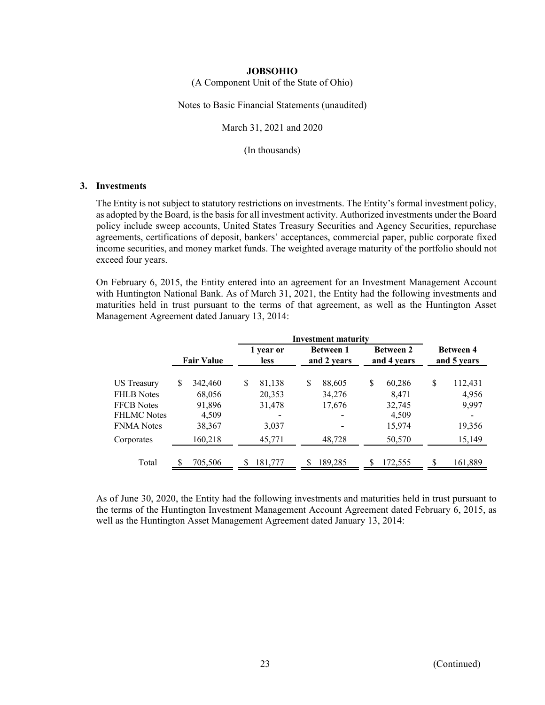(A Component Unit of the State of Ohio)

Notes to Basic Financial Statements (unaudited)

March 31, 2021 and 2020

(In thousands)

#### **3. Investments**

The Entity is not subject to statutory restrictions on investments. The Entity's formal investment policy, as adopted by the Board, is the basis for all investment activity. Authorized investments under the Board policy include sweep accounts, United States Treasury Securities and Agency Securities, repurchase agreements, certifications of deposit, bankers' acceptances, commercial paper, public corporate fixed income securities, and money market funds. The weighted average maturity of the portfolio should not exceed four years.

On February 6, 2015, the Entity entered into an agreement for an Investment Management Account with Huntington National Bank. As of March 31, 2021, the Entity had the following investments and maturities held in trust pursuant to the terms of that agreement, as well as the Huntington Asset Management Agreement dated January 13, 2014:

|                    |                   |         | <b>Investment maturity</b> |         |                                 |         |                                 |         |                                 |         |
|--------------------|-------------------|---------|----------------------------|---------|---------------------------------|---------|---------------------------------|---------|---------------------------------|---------|
|                    | <b>Fair Value</b> |         | 1 year or<br><b>less</b>   |         | <b>Between 1</b><br>and 2 years |         | <b>Between 2</b><br>and 4 years |         | <b>Between 4</b><br>and 5 years |         |
| <b>US Treasury</b> | S                 | 342,460 | \$                         | 81,138  | \$                              | 88,605  | \$                              | 60,286  | \$                              | 112,431 |
| <b>FHLB</b> Notes  |                   | 68,056  |                            | 20,353  |                                 | 34,276  |                                 | 8,471   |                                 | 4,956   |
| <b>FFCB</b> Notes  |                   | 91,896  |                            | 31,478  |                                 | 17,676  |                                 | 32,745  |                                 | 9,997   |
| <b>FHLMC Notes</b> |                   | 4,509   |                            | -       |                                 |         |                                 | 4,509   |                                 |         |
| <b>FNMA</b> Notes  |                   | 38,367  |                            | 3,037   |                                 |         |                                 | 15,974  |                                 | 19,356  |
| Corporates         |                   | 160,218 |                            | 45,771  |                                 | 48,728  |                                 | 50,570  |                                 | 15,149  |
| Total              |                   | 705,506 | \$                         | 181,777 |                                 | 189,285 | £.                              | 172,555 | S                               | 161,889 |

As of June 30, 2020, the Entity had the following investments and maturities held in trust pursuant to the terms of the Huntington Investment Management Account Agreement dated February 6, 2015, as well as the Huntington Asset Management Agreement dated January 13, 2014: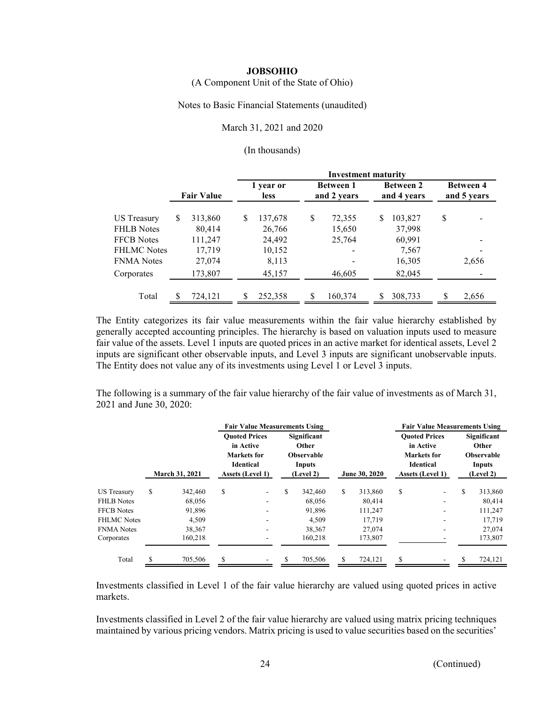(A Component Unit of the State of Ohio)

Notes to Basic Financial Statements (unaudited)

#### March 31, 2021 and 2020

#### (In thousands)

|                                         |                   |                   |                          |                   |    | <b>Investment maturity</b>      |   |                                 |    |                                 |
|-----------------------------------------|-------------------|-------------------|--------------------------|-------------------|----|---------------------------------|---|---------------------------------|----|---------------------------------|
|                                         | <b>Fair Value</b> |                   | 1 year or<br><b>less</b> |                   |    | <b>Between 1</b><br>and 2 years |   | <b>Between 2</b><br>and 4 years |    | <b>Between 4</b><br>and 5 years |
| <b>US Treasury</b><br><b>FHLB Notes</b> | \$                | 313,860<br>80,414 | \$                       | 137,678<br>26,766 | \$ | 72,355<br>15,650                | S | 103,827<br>37,998               | \$ |                                 |
| <b>FFCB</b> Notes                       |                   | 111,247           |                          | 24,492            |    | 25,764                          |   | 60,991                          |    |                                 |
| <b>FHLMC Notes</b><br><b>FNMA Notes</b> |                   | 17,719<br>27,074  |                          | 10,152<br>8,113   |    |                                 |   | 7,567<br>16,305                 |    | 2,656                           |
| Corporates                              |                   | 173,807           |                          | 45,157            |    | 46,605                          |   | 82,045                          |    |                                 |
| Total                                   |                   | 724,121           |                          | 252,358           | S  | 160,374                         |   | 308,733                         | S  | 2,656                           |

The Entity categorizes its fair value measurements within the fair value hierarchy established by generally accepted accounting principles. The hierarchy is based on valuation inputs used to measure fair value of the assets. Level 1 inputs are quoted prices in an active market for identical assets, Level 2 inputs are significant other observable inputs, and Level 3 inputs are significant unobservable inputs. The Entity does not value any of its investments using Level 1 or Level 3 inputs.

The following is a summary of the fair value hierarchy of the fair value of investments as of March 31, 2021 and June 30, 2020:

|                |         | <b>Fair Value Measurements Using</b> |                                                                                                   |                                                                       |         |               |         |                                                                         |   |                                                                  |                                      |
|----------------|---------|--------------------------------------|---------------------------------------------------------------------------------------------------|-----------------------------------------------------------------------|---------|---------------|---------|-------------------------------------------------------------------------|---|------------------------------------------------------------------|--------------------------------------|
| March 31, 2021 |         |                                      | Significant<br>in Active<br>Other<br><b>Observable</b><br><b>Identical</b><br>Inputs<br>(Level 2) |                                                                       |         | June 30, 2020 |         | in Active<br><b>Markets</b> for<br><b>Identical</b><br>Assets (Level 1) |   | Significant<br>Other<br><b>Observable</b><br>Inputs<br>(Level 2) |                                      |
| S              | 342,460 | \$                                   | ۰.                                                                                                | \$                                                                    | 342,460 | \$            | 313,860 | S                                                                       |   | S                                                                | 313,860                              |
|                | 68,056  |                                      |                                                                                                   |                                                                       | 68,056  |               | 80.414  |                                                                         | ۰ |                                                                  | 80,414                               |
|                | 91,896  |                                      |                                                                                                   |                                                                       | 91.896  |               | 111,247 |                                                                         |   |                                                                  | 111,247                              |
|                | 4,509   |                                      |                                                                                                   |                                                                       | 4,509   |               | 17,719  |                                                                         |   |                                                                  | 17,719                               |
|                | 38,367  |                                      |                                                                                                   |                                                                       | 38,367  |               | 27,074  |                                                                         |   |                                                                  | 27,074                               |
|                | 160.218 |                                      |                                                                                                   |                                                                       | 160,218 |               | 173,807 |                                                                         |   |                                                                  | 173,807                              |
|                | 705,506 | S                                    |                                                                                                   | S                                                                     | 705,506 | S             | 724,121 | S                                                                       |   |                                                                  | 724,121                              |
|                |         |                                      |                                                                                                   | <b>Ouoted Prices</b><br><b>Markets</b> for<br><b>Assets (Level 1)</b> |         |               |         |                                                                         |   | <b>Ouoted Prices</b>                                             | <b>Fair Value Measurements Using</b> |

Investments classified in Level 1 of the fair value hierarchy are valued using quoted prices in active markets.

Investments classified in Level 2 of the fair value hierarchy are valued using matrix pricing techniques maintained by various pricing vendors. Matrix pricing is used to value securities based on the securities'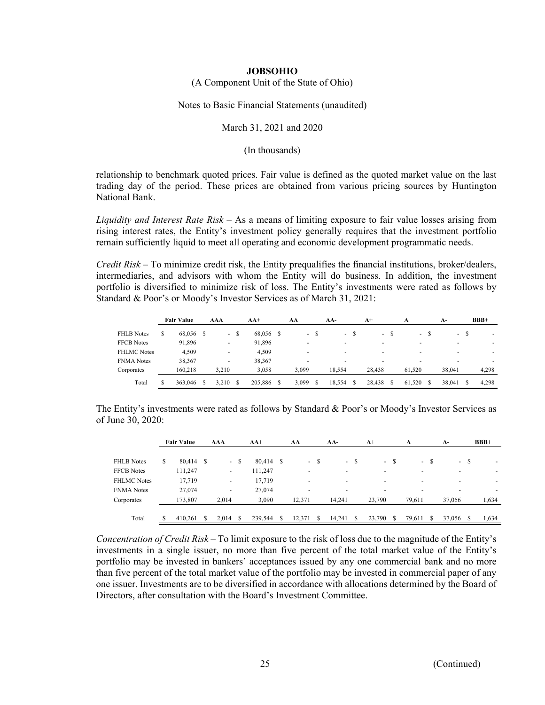(A Component Unit of the State of Ohio)

Notes to Basic Financial Statements (unaudited)

#### March 31, 2021 and 2020

(In thousands)

relationship to benchmark quoted prices. Fair value is defined as the quoted market value on the last trading day of the period. These prices are obtained from various pricing sources by Huntington National Bank.

*Liquidity and Interest Rate Risk* – As a means of limiting exposure to fair value losses arising from rising interest rates, the Entity's investment policy generally requires that the investment portfolio remain sufficiently liquid to meet all operating and economic development programmatic needs.

*Credit Risk* – To minimize credit risk, the Entity prequalifies the financial institutions, broker/dealers, intermediaries, and advisors with whom the Entity will do business. In addition, the investment portfolio is diversified to minimize risk of loss. The Entity's investments were rated as follows by Standard & Poor's or Moody's Investor Services as of March 31, 2021:

|                    |   | <b>Fair Value</b> | AAA                      |    | $AA+$   |      | AA     |   | AA-            |      | $A^+$  |    | A      | A-     |   | $BBB+$ |
|--------------------|---|-------------------|--------------------------|----|---------|------|--------|---|----------------|------|--------|----|--------|--------|---|--------|
| <b>FHLB</b> Notes  | S | 68,056 \$         | $\overline{\phantom{a}}$ | -S | 68,056  | - \$ | $\sim$ | S |                | - \$ | $\sim$ | -S | - \$   | $\sim$ | ъ | ۰      |
| <b>FFCB</b> Notes  |   | 91,896            |                          |    | 91,896  |      | -      |   | -              |      | -      |    | ۰      |        |   |        |
| <b>FHLMC</b> Notes |   | 4.509             |                          |    | 4,509   |      | -      |   | $\overline{a}$ |      | -      |    | ۰      | -      |   |        |
| <b>FNMA Notes</b>  |   | 38,367            |                          |    | 38,367  |      | -      |   | -              |      | -      |    | ۰      | -      |   |        |
| Corporates         |   | 160.218           | 3.210                    |    | 3.058   |      | 3.099  |   | 18.554         |      | 28,438 |    | 61.520 | 38,041 |   | 4,298  |
| Total              |   | 363,046           | 3.210                    |    | 205,886 |      | 3.099  |   | 18.554         |      | 28,438 |    | 61.520 | 38.041 |   | 4.298  |

The Entity's investments were rated as follows by Standard & Poor's or Moody's Investor Services as of June 30, 2020:

|                    | <b>Fair Value</b> | AAA                          |        | $AA+$   |      | AA     |      | AA-    |        | $A+$                     | A      |        | $A-$   |      | $BBB+$ |
|--------------------|-------------------|------------------------------|--------|---------|------|--------|------|--------|--------|--------------------------|--------|--------|--------|------|--------|
| <b>FHLB</b> Notes  | \$<br>80,414 \$   |                              | $-$ \$ | 80,414  | - \$ |        | - \$ |        | $-$ \$ | $- S$                    |        | $-$ \$ |        | - \$ | ۰      |
| <b>FFCB</b> Notes  | 111,247           | -                            |        | 111,247 |      |        |      | -      |        | $\overline{\phantom{a}}$ |        |        |        |      | -      |
| <b>FHLMC</b> Notes | 17,719            | $\qquad \qquad \blacksquare$ |        | 17,719  |      |        |      | -      |        | $\overline{\phantom{a}}$ |        |        |        |      |        |
| <b>FNMA</b> Notes  | 27,074            | $\overline{\phantom{a}}$     |        | 27,074  |      |        |      |        |        | -                        |        |        |        |      |        |
| Corporates         | 173,807           | 2.014                        |        | 3,090   |      | 12.371 |      | 14.241 |        | 23,790                   | 79,611 |        | 37,056 |      | 1,634  |
|                    |                   |                              |        |         |      |        |      |        |        |                          |        |        |        |      |        |
| Total              | 410.261           | 2.014                        | \$.    | 239,544 | \$   | 12.371 |      | 14.241 | -S     | 23,790<br>S              | 79,611 |        | 37,056 |      | 1,634  |

*Concentration of Credit Risk* – To limit exposure to the risk of loss due to the magnitude of the Entity's investments in a single issuer, no more than five percent of the total market value of the Entity's portfolio may be invested in bankers' acceptances issued by any one commercial bank and no more than five percent of the total market value of the portfolio may be invested in commercial paper of any one issuer. Investments are to be diversified in accordance with allocations determined by the Board of Directors, after consultation with the Board's Investment Committee.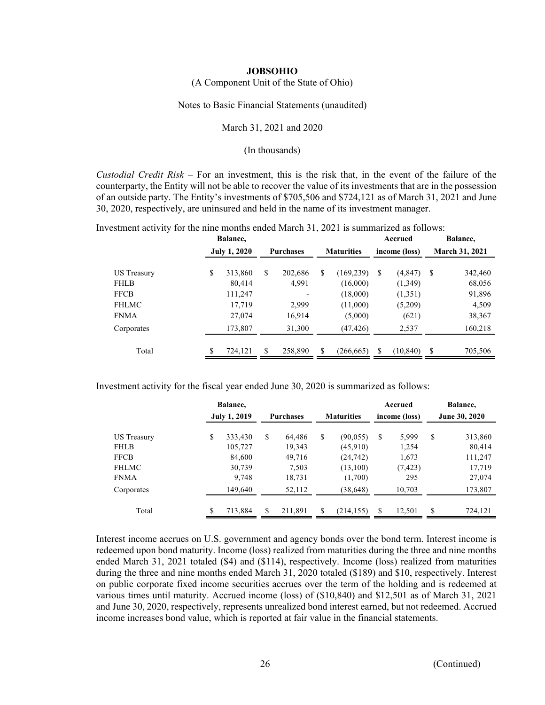(A Component Unit of the State of Ohio)

Notes to Basic Financial Statements (unaudited)

March 31, 2021 and 2020

(In thousands)

*Custodial Credit Risk* – For an investment, this is the risk that, in the event of the failure of the counterparty, the Entity will not be able to recover the value of its investments that are in the possession of an outside party. The Entity's investments of \$705,506 and \$724,121 as of March 31, 2021 and June 30, 2020, respectively, are uninsured and held in the name of its investment manager.

Investment activity for the nine months ended March 31, 2021 is summarized as follows:

|                    | Balance,            |    |                  |    |                   |    | Accrued       |                       | Balance, |  |
|--------------------|---------------------|----|------------------|----|-------------------|----|---------------|-----------------------|----------|--|
|                    | <b>July 1, 2020</b> |    | <b>Purchases</b> |    | <b>Maturities</b> |    | income (loss) | <b>March 31, 2021</b> |          |  |
|                    |                     |    |                  |    |                   |    |               |                       |          |  |
| <b>US</b> Treasury | \$<br>313,860       | \$ | 202,686          | \$ | (169, 239)        | \$ | (4, 847)      | S                     | 342,460  |  |
| <b>FHLB</b>        | 80,414              |    | 4,991            |    | (16,000)          |    | (1,349)       |                       | 68,056   |  |
| <b>FFCB</b>        | 111,247             |    |                  |    | (18,000)          |    | (1,351)       |                       | 91,896   |  |
| <b>FHLMC</b>       | 17,719              |    | 2,999            |    | (11,000)          |    | (5,209)       |                       | 4,509    |  |
| <b>FNMA</b>        | 27,074              |    | 16,914           |    | (5,000)           |    | (621)         |                       | 38,367   |  |
| Corporates         | 173,807             |    | 31,300           |    | (47, 426)         |    | 2,537         |                       | 160,218  |  |
|                    |                     |    |                  |    |                   |    |               |                       |          |  |
| Total              | \$<br>724,121       | \$ | 258,890          | S  | (266, 665)        | \$ | (10, 840)     | S                     | 705,506  |  |
|                    |                     |    |                  |    |                   |    |               |                       |          |  |

Investment activity for the fiscal year ended June 30, 2020 is summarized as follows:

|                    | Balance,            |         |    |                  |   |                   |    | Accrued       |    | Balance,      |
|--------------------|---------------------|---------|----|------------------|---|-------------------|----|---------------|----|---------------|
|                    | <b>July 1, 2019</b> |         |    | <b>Purchases</b> |   | <b>Maturities</b> |    | income (loss) |    | June 30, 2020 |
| <b>US Treasury</b> | S                   | 333,430 | \$ | 64,486           | S | (90, 055)         | S  | 5,999         | \$ | 313,860       |
| <b>FHLB</b>        |                     | 105,727 |    | 19,343           |   | (45,910)          |    | 1,254         |    | 80,414        |
| <b>FFCB</b>        |                     | 84,600  |    | 49,716           |   | (24, 742)         |    | 1,673         |    | 111,247       |
| <b>FHLMC</b>       |                     | 30,739  |    | 7,503            |   | (13,100)          |    | (7, 423)      |    | 17,719        |
| <b>FNMA</b>        |                     | 9,748   |    | 18,731           |   | (1,700)           |    | 295           |    | 27,074        |
| Corporates         |                     | 149,640 |    | 52,112           |   | (38, 648)         |    | 10,703        |    | 173,807       |
| Total              |                     | 713,884 | S  | 211,891          | S | (214, 155)        | \$ | 12,501        | \$ | 724,121       |

Interest income accrues on U.S. government and agency bonds over the bond term. Interest income is redeemed upon bond maturity. Income (loss) realized from maturities during the three and nine months ended March 31, 2021 totaled (\$4) and (\$114), respectively. Income (loss) realized from maturities during the three and nine months ended March 31, 2020 totaled (\$189) and \$10, respectively. Interest on public corporate fixed income securities accrues over the term of the holding and is redeemed at various times until maturity. Accrued income (loss) of (\$10,840) and \$12,501 as of March 31, 2021 and June 30, 2020, respectively, represents unrealized bond interest earned, but not redeemed. Accrued income increases bond value, which is reported at fair value in the financial statements.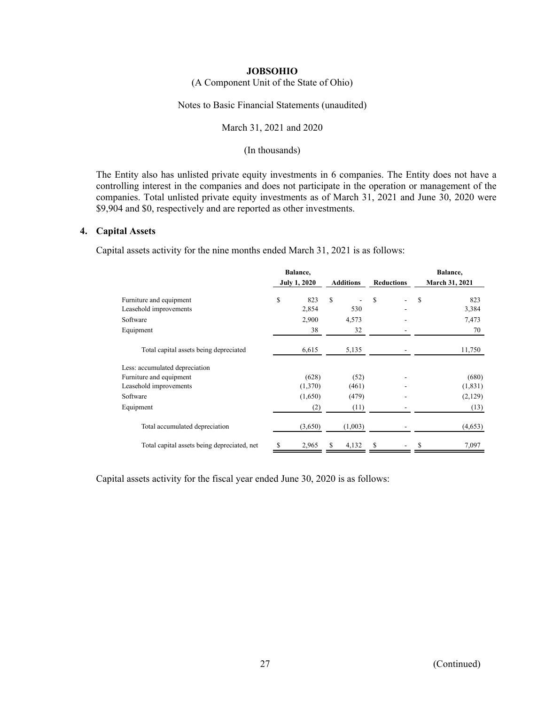# (A Component Unit of the State of Ohio)

Notes to Basic Financial Statements (unaudited)

#### March 31, 2021 and 2020

#### (In thousands)

The Entity also has unlisted private equity investments in 6 companies. The Entity does not have a controlling interest in the companies and does not participate in the operation or management of the companies. Total unlisted private equity investments as of March 31, 2021 and June 30, 2020 were \$9,904 and \$0, respectively and are reported as other investments.

#### **4. Capital Assets**

Capital assets activity for the nine months ended March 31, 2021 is as follows:

|                                             | Balance,            |         |    |                  |                   |                          | Balance, |                |  |
|---------------------------------------------|---------------------|---------|----|------------------|-------------------|--------------------------|----------|----------------|--|
|                                             | <b>July 1, 2020</b> |         |    | <b>Additions</b> | <b>Reductions</b> |                          |          | March 31, 2021 |  |
| Furniture and equipment                     | \$                  | 823     | \$ |                  | \$                | $\overline{\phantom{0}}$ | \$       | 823            |  |
| Leasehold improvements                      |                     | 2,854   |    | 530              |                   |                          |          | 3,384          |  |
| Software                                    |                     | 2,900   |    | 4,573            |                   |                          |          | 7,473          |  |
| Equipment                                   |                     | 38      |    | 32               |                   |                          |          | 70             |  |
| Total capital assets being depreciated      | 6,615               |         |    | 5,135            |                   |                          |          | 11,750         |  |
| Less: accumulated depreciation              |                     |         |    |                  |                   |                          |          |                |  |
| Furniture and equipment                     |                     | (628)   |    | (52)             |                   |                          |          | (680)          |  |
| Leasehold improvements                      |                     | (1,370) |    | (461)            |                   |                          |          | (1, 831)       |  |
| Software                                    |                     | (1,650) |    | (479)            |                   |                          |          | (2,129)        |  |
| Equipment                                   |                     | (2)     |    | (11)             |                   |                          |          | (13)           |  |
| Total accumulated depreciation              |                     | (3,650) |    | (1,003)          |                   |                          |          | (4,653)        |  |
| Total capital assets being depreciated, net | \$                  | 2,965   | S  | 4,132            | \$                |                          | \$       | 7,097          |  |

Capital assets activity for the fiscal year ended June 30, 2020 is as follows: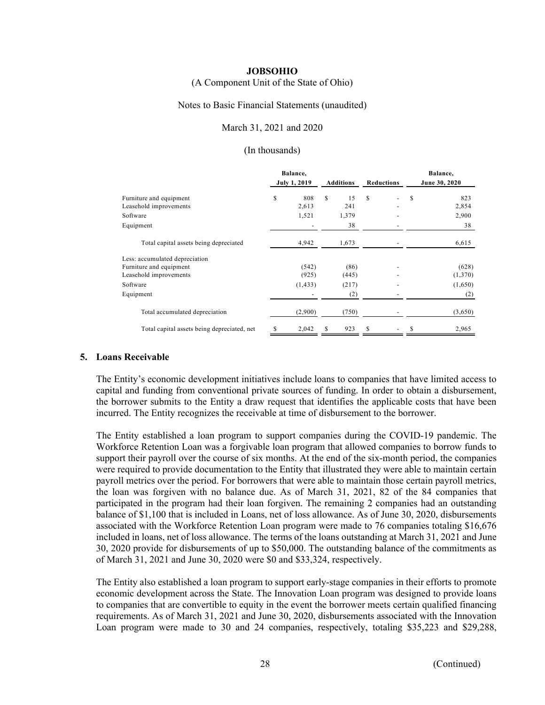#### (A Component Unit of the State of Ohio)

#### Notes to Basic Financial Statements (unaudited)

#### March 31, 2021 and 2020

#### (In thousands)

|                                             | Balance,            |                  |                   | Balance,      |
|---------------------------------------------|---------------------|------------------|-------------------|---------------|
|                                             | <b>July 1, 2019</b> | <b>Additions</b> | <b>Reductions</b> | June 30, 2020 |
| Furniture and equipment                     | \$<br>808           | s<br>15          | \$                | 823<br>S      |
| Leasehold improvements                      | 2,613               | 241              |                   | 2,854         |
| Software                                    | 1,521               | 1,379            |                   | 2,900         |
| Equipment                                   |                     | 38               |                   | 38            |
| Total capital assets being depreciated      | 4,942               | 1,673            |                   | 6,615         |
| Less: accumulated depreciation              |                     |                  |                   |               |
| Furniture and equipment                     | (542)               | (86)             |                   | (628)         |
| Leasehold improvements                      | (925)               | (445)            |                   | (1,370)       |
| Software                                    | (1, 433)            | (217)            |                   | (1,650)       |
| Equipment                                   |                     | (2)              |                   | (2)           |
| Total accumulated depreciation              | (2,900)             | (750)            |                   | (3,650)       |
| Total capital assets being depreciated, net | 2,042<br>\$         | 923<br>S         | \$                | 2,965<br>S    |

#### **5. Loans Receivable**

The Entity's economic development initiatives include loans to companies that have limited access to capital and funding from conventional private sources of funding. In order to obtain a disbursement, the borrower submits to the Entity a draw request that identifies the applicable costs that have been incurred. The Entity recognizes the receivable at time of disbursement to the borrower.

The Entity established a loan program to support companies during the COVID-19 pandemic. The Workforce Retention Loan was a forgivable loan program that allowed companies to borrow funds to support their payroll over the course of six months. At the end of the six-month period, the companies were required to provide documentation to the Entity that illustrated they were able to maintain certain payroll metrics over the period. For borrowers that were able to maintain those certain payroll metrics, the loan was forgiven with no balance due. As of March 31, 2021, 82 of the 84 companies that participated in the program had their loan forgiven. The remaining 2 companies had an outstanding balance of \$1,100 that is included in Loans, net of loss allowance. As of June 30, 2020, disbursements associated with the Workforce Retention Loan program were made to 76 companies totaling \$16,676 included in loans, net of loss allowance. The terms of the loans outstanding at March 31, 2021 and June 30, 2020 provide for disbursements of up to \$50,000. The outstanding balance of the commitments as of March 31, 2021 and June 30, 2020 were \$0 and \$33,324, respectively.

The Entity also established a loan program to support early-stage companies in their efforts to promote economic development across the State. The Innovation Loan program was designed to provide loans to companies that are convertible to equity in the event the borrower meets certain qualified financing requirements. As of March 31, 2021 and June 30, 2020, disbursements associated with the Innovation Loan program were made to 30 and 24 companies, respectively, totaling \$35,223 and \$29,288,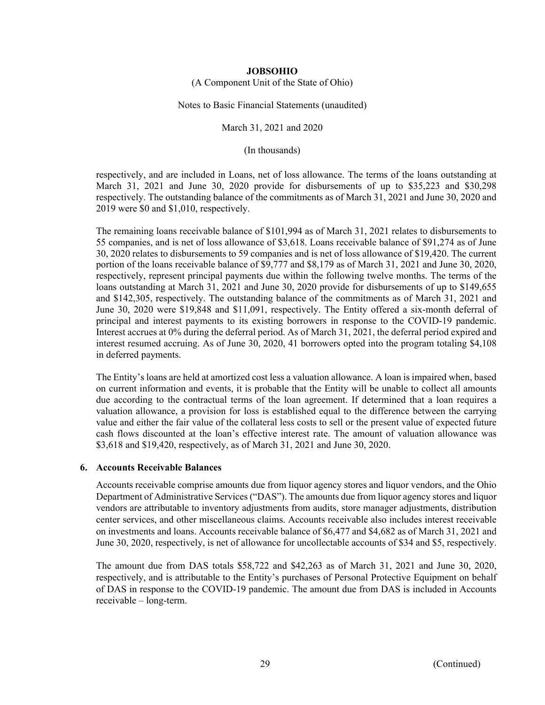(A Component Unit of the State of Ohio)

Notes to Basic Financial Statements (unaudited)

March 31, 2021 and 2020

(In thousands)

respectively, and are included in Loans, net of loss allowance. The terms of the loans outstanding at March 31, 2021 and June 30, 2020 provide for disbursements of up to \$35,223 and \$30,298 respectively. The outstanding balance of the commitments as of March 31, 2021 and June 30, 2020 and 2019 were \$0 and \$1,010, respectively.

The remaining loans receivable balance of \$101,994 as of March 31, 2021 relates to disbursements to 55 companies, and is net of loss allowance of \$3,618. Loans receivable balance of \$91,274 as of June 30, 2020 relates to disbursements to 59 companies and is net of loss allowance of \$19,420. The current portion of the loans receivable balance of \$9,777 and \$8,179 as of March 31, 2021 and June 30, 2020, respectively, represent principal payments due within the following twelve months. The terms of the loans outstanding at March 31, 2021 and June 30, 2020 provide for disbursements of up to \$149,655 and \$142,305, respectively. The outstanding balance of the commitments as of March 31, 2021 and June 30, 2020 were \$19,848 and \$11,091, respectively. The Entity offered a six-month deferral of principal and interest payments to its existing borrowers in response to the COVID-19 pandemic. Interest accrues at 0% during the deferral period. As of March 31, 2021, the deferral period expired and interest resumed accruing. As of June 30, 2020, 41 borrowers opted into the program totaling \$4,108 in deferred payments.

The Entity's loans are held at amortized cost less a valuation allowance. A loan is impaired when, based on current information and events, it is probable that the Entity will be unable to collect all amounts due according to the contractual terms of the loan agreement. If determined that a loan requires a valuation allowance, a provision for loss is established equal to the difference between the carrying value and either the fair value of the collateral less costs to sell or the present value of expected future cash flows discounted at the loan's effective interest rate. The amount of valuation allowance was \$3,618 and \$19,420, respectively, as of March 31, 2021 and June 30, 2020.

## **6. Accounts Receivable Balances**

Accounts receivable comprise amounts due from liquor agency stores and liquor vendors, and the Ohio Department of Administrative Services ("DAS"). The amounts due from liquor agency stores and liquor vendors are attributable to inventory adjustments from audits, store manager adjustments, distribution center services, and other miscellaneous claims. Accounts receivable also includes interest receivable on investments and loans. Accounts receivable balance of \$6,477 and \$4,682 as of March 31, 2021 and June 30, 2020, respectively, is net of allowance for uncollectable accounts of \$34 and \$5, respectively.

The amount due from DAS totals \$58,722 and \$42,263 as of March 31, 2021 and June 30, 2020, respectively, and is attributable to the Entity's purchases of Personal Protective Equipment on behalf of DAS in response to the COVID-19 pandemic. The amount due from DAS is included in Accounts receivable – long-term.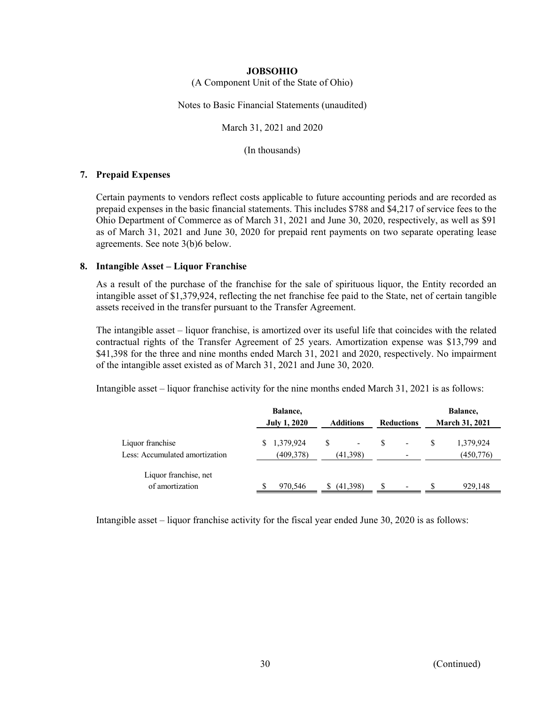(A Component Unit of the State of Ohio)

Notes to Basic Financial Statements (unaudited)

March 31, 2021 and 2020

(In thousands)

## **7. Prepaid Expenses**

Certain payments to vendors reflect costs applicable to future accounting periods and are recorded as prepaid expenses in the basic financial statements. This includes \$788 and \$4,217 of service fees to the Ohio Department of Commerce as of March 31, 2021 and June 30, 2020, respectively, as well as \$91 as of March 31, 2021 and June 30, 2020 for prepaid rent payments on two separate operating lease agreements. See note 3(b)6 below.

## **8. Intangible Asset – Liquor Franchise**

As a result of the purchase of the franchise for the sale of spirituous liquor, the Entity recorded an intangible asset of \$1,379,924, reflecting the net franchise fee paid to the State, net of certain tangible assets received in the transfer pursuant to the Transfer Agreement.

The intangible asset – liquor franchise, is amortized over its useful life that coincides with the related contractual rights of the Transfer Agreement of 25 years. Amortization expense was \$13,799 and \$41,398 for the three and nine months ended March 31, 2021 and 2020, respectively. No impairment of the intangible asset existed as of March 31, 2021 and June 30, 2020.

Intangible asset – liquor franchise activity for the nine months ended March 31, 2021 is as follows:

|                                                    | Balance,                 |                                      |                          | Balance,                |
|----------------------------------------------------|--------------------------|--------------------------------------|--------------------------|-------------------------|
|                                                    | <b>July 1, 2020</b>      | <b>Additions</b>                     | <b>Reductions</b>        | <b>March 31, 2021</b>   |
| Liquor franchise<br>Less: Accumulated amortization | \$1,379,924<br>(409,378) | $\overline{\phantom{a}}$<br>(41,398) | $\overline{\phantom{a}}$ | 1,379,924<br>(450, 776) |
| Liquor franchise, net<br>of amortization           | 970,546                  | (41,398)                             | $\overline{\phantom{a}}$ | 929,148                 |

Intangible asset – liquor franchise activity for the fiscal year ended June 30, 2020 is as follows: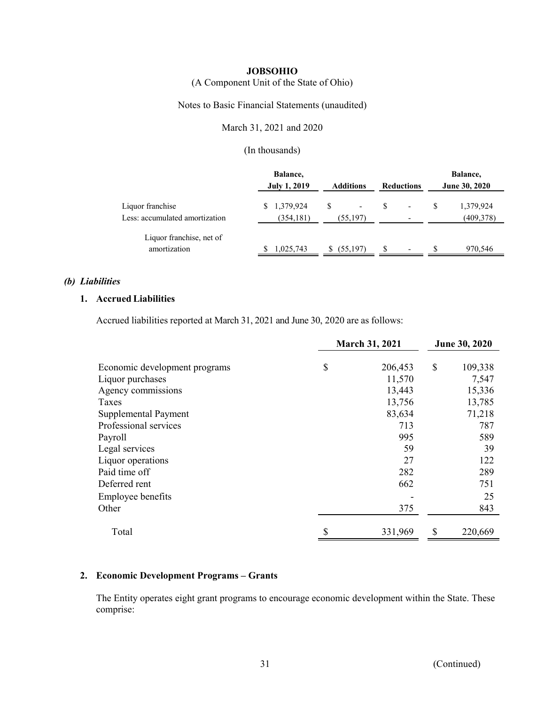(A Component Unit of the State of Ohio)

Notes to Basic Financial Statements (unaudited)

March 31, 2021 and 2020

(In thousands)

|                                                    | Balance,<br><b>July 1, 2019</b> | <b>Additions</b>                           | <b>Reductions</b>             | Balance,<br>June 30, 2020 |  |  |
|----------------------------------------------------|---------------------------------|--------------------------------------------|-------------------------------|---------------------------|--|--|
| Liquor franchise<br>Less: accumulated amortization | \$1,379,924<br>(354, 181)       | S<br>$\overline{\phantom{a}}$<br>(55, 197) | $\overline{\phantom{a}}$      | 1,379,924<br>(409,378)    |  |  |
| Liquor franchise, net of<br>amortization           | 1,025,743                       | (55,197)                                   | S<br>$\overline{\phantom{0}}$ | S<br>970,546              |  |  |

### *(b) Liabilities*

## **1. Accrued Liabilities**

Accrued liabilities reported at March 31, 2021 and June 30, 2020 are as follows:

|                               | <b>March 31, 2021</b> | June 30, 2020 |
|-------------------------------|-----------------------|---------------|
|                               |                       |               |
| Economic development programs | \$<br>206,453         | \$<br>109,338 |
| Liquor purchases              | 11,570                | 7,547         |
| Agency commissions            | 13,443                | 15,336        |
| Taxes                         | 13,756                | 13,785        |
| Supplemental Payment          | 83,634                | 71,218        |
| Professional services         | 713                   | 787           |
| Payroll                       | 995                   | 589           |
| Legal services                | 59                    | 39            |
| Liquor operations             | 27                    | 122           |
| Paid time off                 | 282                   | 289           |
| Deferred rent                 | 662                   | 751           |
| <b>Employee benefits</b>      |                       | 25            |
| Other                         | 375                   | 843           |
| Total                         | \$<br>331,969         | \$<br>220,669 |

## **2. Economic Development Programs – Grants**

The Entity operates eight grant programs to encourage economic development within the State. These comprise: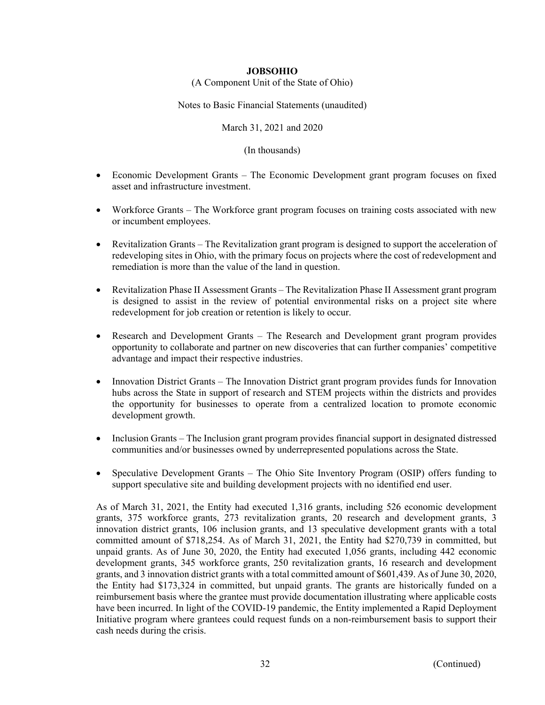(A Component Unit of the State of Ohio)

Notes to Basic Financial Statements (unaudited)

March 31, 2021 and 2020

(In thousands)

- Economic Development Grants The Economic Development grant program focuses on fixed asset and infrastructure investment.
- Workforce Grants The Workforce grant program focuses on training costs associated with new or incumbent employees.
- Revitalization Grants The Revitalization grant program is designed to support the acceleration of redeveloping sites in Ohio, with the primary focus on projects where the cost of redevelopment and remediation is more than the value of the land in question.
- Revitalization Phase II Assessment Grants The Revitalization Phase II Assessment grant program is designed to assist in the review of potential environmental risks on a project site where redevelopment for job creation or retention is likely to occur.
- Research and Development Grants The Research and Development grant program provides opportunity to collaborate and partner on new discoveries that can further companies' competitive advantage and impact their respective industries.
- Innovation District Grants The Innovation District grant program provides funds for Innovation hubs across the State in support of research and STEM projects within the districts and provides the opportunity for businesses to operate from a centralized location to promote economic development growth.
- Inclusion Grants The Inclusion grant program provides financial support in designated distressed communities and/or businesses owned by underrepresented populations across the State.
- Speculative Development Grants The Ohio Site Inventory Program (OSIP) offers funding to support speculative site and building development projects with no identified end user.

As of March 31, 2021, the Entity had executed 1,316 grants, including 526 economic development grants, 375 workforce grants, 273 revitalization grants, 20 research and development grants, 3 innovation district grants, 106 inclusion grants, and 13 speculative development grants with a total committed amount of \$718,254. As of March 31, 2021, the Entity had \$270,739 in committed, but unpaid grants. As of June 30, 2020, the Entity had executed 1,056 grants, including 442 economic development grants, 345 workforce grants, 250 revitalization grants, 16 research and development grants, and 3 innovation district grants with a total committed amount of \$601,439. As of June 30, 2020, the Entity had \$173,324 in committed, but unpaid grants. The grants are historically funded on a reimbursement basis where the grantee must provide documentation illustrating where applicable costs have been incurred. In light of the COVID-19 pandemic, the Entity implemented a Rapid Deployment Initiative program where grantees could request funds on a non-reimbursement basis to support their cash needs during the crisis.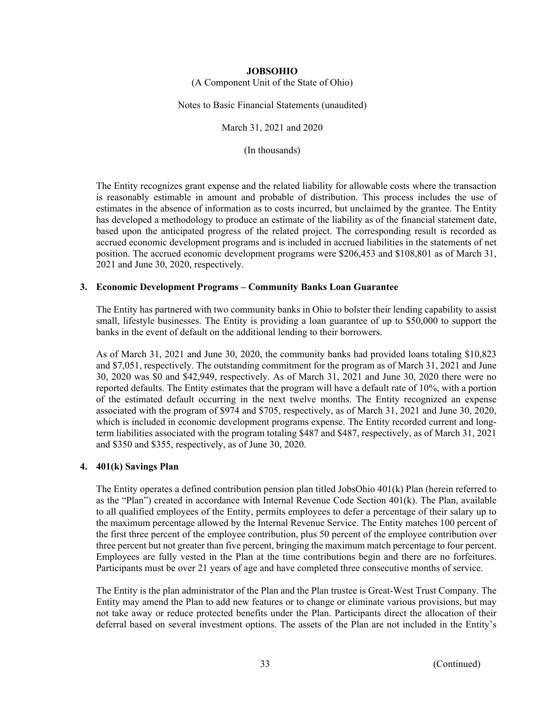(A Component Unit of the State of Ohio)

Notes to Basic Financial Statements (unaudited)

March 31, 2021 and 2020

(In thousands)

The Entity recognizes grant expense and the related liability for allowable costs where the transaction is reasonably estimable in amount and probable of distribution. This process includes the use of estimates in the absence of information as to costs incurred, but unclaimed by the grantee. The Entity has developed a methodology to produce an estimate of the liability as of the financial statement date, based upon the anticipated progress of the related project. The corresponding result is recorded as accrued economic development programs and is included in accrued liabilities in the statements of net position. The accrued economic development programs were \$206,453 and \$108,801 as of March 31, 2021 and June 30, 2020, respectively.

## **3. Economic Development Programs – Community Banks Loan Guarantee**

The Entity has partnered with two community banks in Ohio to bolster their lending capability to assist small, lifestyle businesses. The Entity is providing a loan guarantee of up to \$50,000 to support the banks in the event of default on the additional lending to their borrowers.

As of March 31, 2021 and June 30, 2020, the community banks had provided loans totaling \$10,823 and \$7,051, respectively. The outstanding commitment for the program as of March 31, 2021 and June 30, 2020 was \$0 and \$42,949, respectively. As of March 31, 2021 and June 30, 2020 there were no reported defaults. The Entity estimates that the program will have a default rate of 10%, with a portion of the estimated default occurring in the next twelve months. The Entity recognized an expense associated with the program of \$974 and \$705, respectively, as of March 31, 2021 and June 30, 2020, which is included in economic development programs expense. The Entity recorded current and longterm liabilities associated with the program totaling \$487 and \$487, respectively, as of March 31, 2021 and \$350 and \$355, respectively, as of June 30, 2020.

## **4. 401(k) Savings Plan**

The Entity operates a defined contribution pension plan titled JobsOhio 401(k) Plan (herein referred to as the "Plan") created in accordance with Internal Revenue Code Section 401(k). The Plan, available to all qualified employees of the Entity, permits employees to defer a percentage of their salary up to the maximum percentage allowed by the Internal Revenue Service. The Entity matches 100 percent of the first three percent of the employee contribution, plus 50 percent of the employee contribution over three percent but not greater than five percent, bringing the maximum match percentage to four percent. Employees are fully vested in the Plan at the time contributions begin and there are no forfeitures. Participants must be over 21 years of age and have completed three consecutive months of service.

The Entity is the plan administrator of the Plan and the Plan trustee is Great-West Trust Company. The Entity may amend the Plan to add new features or to change or eliminate various provisions, but may not take away or reduce protected benefits under the Plan. Participants direct the allocation of their deferral based on several investment options. The assets of the Plan are not included in the Entity's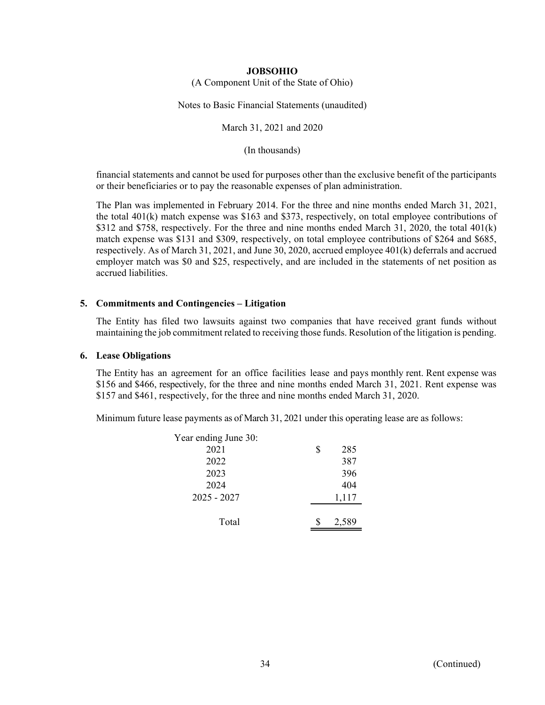(A Component Unit of the State of Ohio)

Notes to Basic Financial Statements (unaudited)

March 31, 2021 and 2020

(In thousands)

financial statements and cannot be used for purposes other than the exclusive benefit of the participants or their beneficiaries or to pay the reasonable expenses of plan administration.

The Plan was implemented in February 2014. For the three and nine months ended March 31, 2021, the total 401(k) match expense was \$163 and \$373, respectively, on total employee contributions of \$312 and \$758, respectively. For the three and nine months ended March 31, 2020, the total 401(k) match expense was \$131 and \$309, respectively, on total employee contributions of \$264 and \$685, respectively. As of March 31, 2021, and June 30, 2020, accrued employee 401(k) deferrals and accrued employer match was \$0 and \$25, respectively, and are included in the statements of net position as accrued liabilities.

## **5. Commitments and Contingencies – Litigation**

The Entity has filed two lawsuits against two companies that have received grant funds without maintaining the job commitment related to receiving those funds. Resolution of the litigation is pending.

### **6. Lease Obligations**

The Entity has an agreement for an office facilities lease and pays monthly rent. Rent expense was \$156 and \$466, respectively, for the three and nine months ended March 31, 2021. Rent expense was \$157 and \$461, respectively, for the three and nine months ended March 31, 2020.

Minimum future lease payments as of March 31, 2021 under this operating lease are as follows:

| Year ending June 30: |   |       |
|----------------------|---|-------|
| 2021                 | S | 285   |
| 2022                 |   | 387   |
| 2023                 |   | 396   |
| 2024                 |   | 404   |
| $2025 - 2027$        |   | 1,117 |
|                      |   |       |
| Total                |   | 2,589 |
|                      |   |       |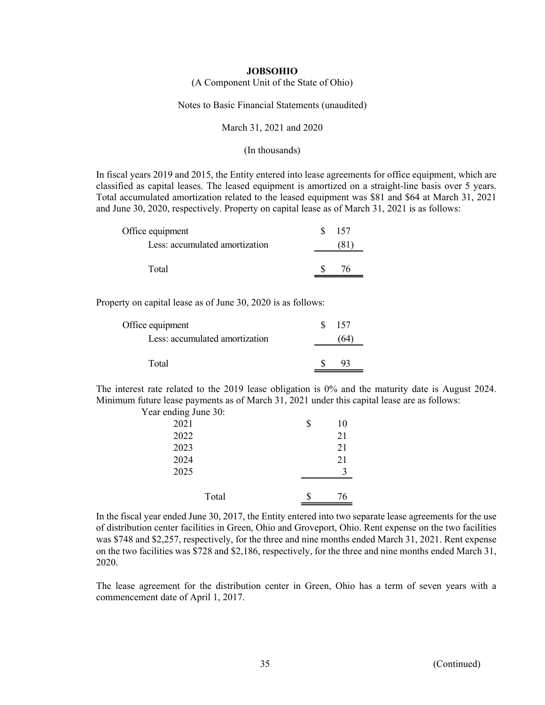#### (A Component Unit of the State of Ohio)

#### Notes to Basic Financial Statements (unaudited)

#### March 31, 2021 and 2020

#### (In thousands)

In fiscal years 2019 and 2015, the Entity entered into lease agreements for office equipment, which are classified as capital leases. The leased equipment is amortized on a straight-line basis over 5 years. Total accumulated amortization related to the leased equipment was \$81 and \$64 at March 31, 2021 and June 30, 2020, respectively. Property on capital lease as of March 31, 2021 is as follows:

| Office equipment               | 157 |
|--------------------------------|-----|
| Less: accumulated amortization |     |
|                                |     |
| Total                          |     |

Property on capital lease as of June 30, 2020 is as follows:

| Office equipment               | 157 |
|--------------------------------|-----|
| Less: accumulated amortization |     |
|                                |     |
| Total                          |     |

The interest rate related to the 2019 lease obligation is 0% and the maturity date is August 2024. Minimum future lease payments as of March 31, 2021 under this capital lease are as follows: Year ending June 30:

| I can endling Julie 50. |          |
|-------------------------|----------|
| 2021                    | \$<br>10 |
| 2022                    | 21       |
| 2023                    | 21       |
| 2024                    | 21       |
| 2025                    |          |
|                         |          |
| Total                   | 76       |

In the fiscal year ended June 30, 2017, the Entity entered into two separate lease agreements for the use of distribution center facilities in Green, Ohio and Groveport, Ohio. Rent expense on the two facilities was \$748 and \$2,257, respectively, for the three and nine months ended March 31, 2021. Rent expense on the two facilities was \$728 and \$2,186, respectively, for the three and nine months ended March 31, 2020.

The lease agreement for the distribution center in Green, Ohio has a term of seven years with a commencement date of April 1, 2017.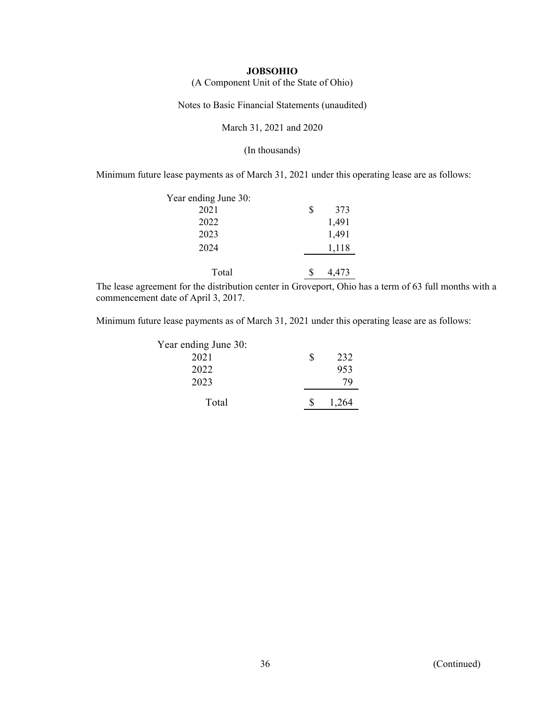(A Component Unit of the State of Ohio)

Notes to Basic Financial Statements (unaudited)

March 31, 2021 and 2020

(In thousands)

Minimum future lease payments as of March 31, 2021 under this operating lease are as follows:

| Year ending June 30: |           |
|----------------------|-----------|
| 2021                 | \$<br>373 |
| 2022                 | 1,491     |
| 2023                 | 1,491     |
| 2024                 | 1,118     |
|                      |           |
| Total                | 4,473     |

The lease agreement for the distribution center in Groveport, Ohio has a term of 63 full months with a commencement date of April 3, 2017.

Minimum future lease payments as of March 31, 2021 under this operating lease are as follows:

| Year ending June 30: |   |       |
|----------------------|---|-------|
| 2021                 | S | 232   |
| 2022                 |   | 953   |
| 2023                 |   | 79    |
| Total                |   | 1,264 |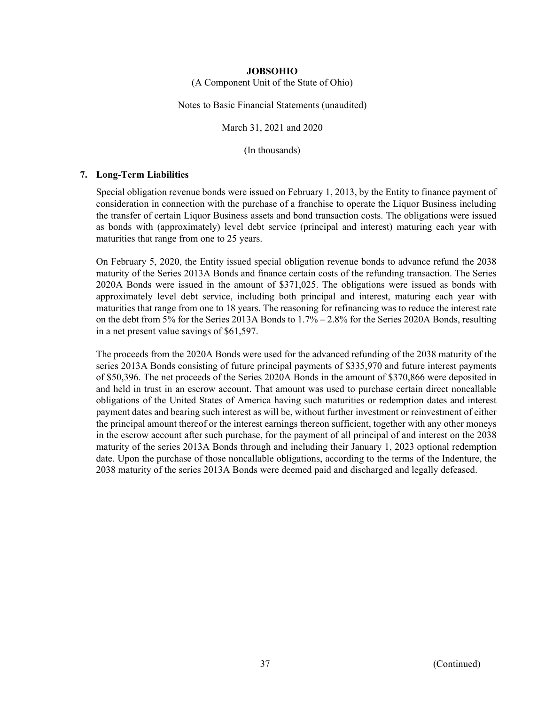(A Component Unit of the State of Ohio)

Notes to Basic Financial Statements (unaudited)

March 31, 2021 and 2020

(In thousands)

## **7. Long-Term Liabilities**

Special obligation revenue bonds were issued on February 1, 2013, by the Entity to finance payment of consideration in connection with the purchase of a franchise to operate the Liquor Business including the transfer of certain Liquor Business assets and bond transaction costs. The obligations were issued as bonds with (approximately) level debt service (principal and interest) maturing each year with maturities that range from one to 25 years.

On February 5, 2020, the Entity issued special obligation revenue bonds to advance refund the 2038 maturity of the Series 2013A Bonds and finance certain costs of the refunding transaction. The Series 2020A Bonds were issued in the amount of \$371,025. The obligations were issued as bonds with approximately level debt service, including both principal and interest, maturing each year with maturities that range from one to 18 years. The reasoning for refinancing was to reduce the interest rate on the debt from 5% for the Series 2013A Bonds to 1.7% – 2.8% for the Series 2020A Bonds, resulting in a net present value savings of \$61,597.

The proceeds from the 2020A Bonds were used for the advanced refunding of the 2038 maturity of the series 2013A Bonds consisting of future principal payments of \$335,970 and future interest payments of \$50,396. The net proceeds of the Series 2020A Bonds in the amount of \$370,866 were deposited in and held in trust in an escrow account. That amount was used to purchase certain direct noncallable obligations of the United States of America having such maturities or redemption dates and interest payment dates and bearing such interest as will be, without further investment or reinvestment of either the principal amount thereof or the interest earnings thereon sufficient, together with any other moneys in the escrow account after such purchase, for the payment of all principal of and interest on the 2038 maturity of the series 2013A Bonds through and including their January 1, 2023 optional redemption date. Upon the purchase of those noncallable obligations, according to the terms of the Indenture, the 2038 maturity of the series 2013A Bonds were deemed paid and discharged and legally defeased.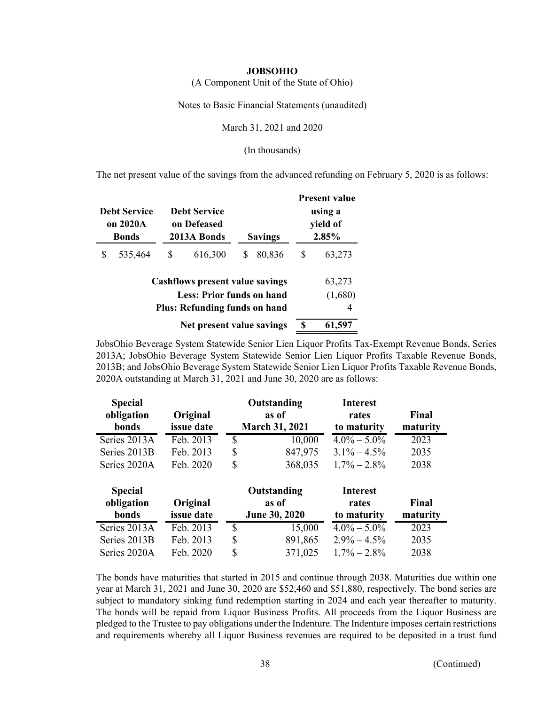(A Component Unit of the State of Ohio)

Notes to Basic Financial Statements (unaudited)

March 31, 2021 and 2020

(In thousands)

The net present value of the savings from the advanced refunding on February 5, 2020 is as follows:

| <b>Debt Service</b><br>on 2020A<br><b>Bonds</b>                                                                    |         |   | <b>Debt Service</b><br>on Defeased<br>2013A Bonds | <b>Savings</b> |        | <b>Present value</b><br>using a<br>yield of<br>2.85% |                        |
|--------------------------------------------------------------------------------------------------------------------|---------|---|---------------------------------------------------|----------------|--------|------------------------------------------------------|------------------------|
|                                                                                                                    | 535,464 | S | 616,300                                           | S              | 80,836 | S                                                    | 63,273                 |
| <b>Cashflows present value savings</b><br><b>Less: Prior funds on hand</b><br><b>Plus: Refunding funds on hand</b> |         |   |                                                   |                |        |                                                      | 63,273<br>(1,680)<br>4 |
| Net present value savings                                                                                          |         |   |                                                   |                |        | \$                                                   | 61,597                 |

JobsOhio Beverage System Statewide Senior Lien Liquor Profits Tax-Exempt Revenue Bonds, Series 2013A; JobsOhio Beverage System Statewide Senior Lien Liquor Profits Taxable Revenue Bonds, 2013B; and JobsOhio Beverage System Statewide Senior Lien Liquor Profits Taxable Revenue Bonds, 2020A outstanding at March 31, 2021 and June 30, 2020 are as follows:

| <b>Special</b><br>obligation<br>bonds | Original<br>issue date | Outstanding<br>as of<br><b>March 31, 2021</b> |                      |                 |          | <b>Interest</b><br>rates<br>to maturity | Final<br>maturity |
|---------------------------------------|------------------------|-----------------------------------------------|----------------------|-----------------|----------|-----------------------------------------|-------------------|
| Series 2013A                          | Feb. 2013              | \$                                            | 10,000               | $4.0\% - 5.0\%$ | 2023     |                                         |                   |
| Series 2013B                          | Feb. 2013              | S                                             | 847,975              | $3.1\% - 4.5\%$ | 2035     |                                         |                   |
| Series 2020A                          | Feb. 2020              | \$                                            | 368,035              | $1.7\% - 2.8\%$ | 2038     |                                         |                   |
| <b>Special</b>                        |                        |                                               | Outstanding          | <b>Interest</b> |          |                                         |                   |
| obligation                            | Original               |                                               | as of                | rates           | Final    |                                         |                   |
| bonds                                 | issue date             |                                               | <b>June 30, 2020</b> | to maturity     | maturity |                                         |                   |
| Series 2013A                          | Feb. 2013              | $\overline{\$}$                               | 15,000               | $4.0\% - 5.0\%$ | 2023     |                                         |                   |
| Series 2013B                          | Feb. 2013              | \$                                            | 891,865              | $2.9\% - 4.5\%$ | 2035     |                                         |                   |
| Series 2020A                          | Feb. 2020              | \$                                            | 371,025              | $1.7\% - 2.8\%$ | 2038     |                                         |                   |

The bonds have maturities that started in 2015 and continue through 2038. Maturities due within one year at March 31, 2021 and June 30, 2020 are \$52,460 and \$51,880, respectively. The bond series are subject to mandatory sinking fund redemption starting in 2024 and each year thereafter to maturity. The bonds will be repaid from Liquor Business Profits. All proceeds from the Liquor Business are pledged to the Trustee to pay obligations under the Indenture. The Indenture imposes certain restrictions and requirements whereby all Liquor Business revenues are required to be deposited in a trust fund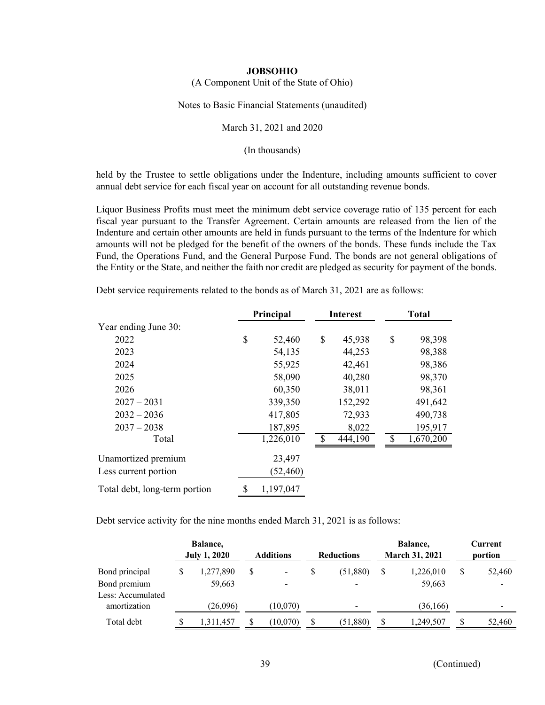(A Component Unit of the State of Ohio)

Notes to Basic Financial Statements (unaudited)

March 31, 2021 and 2020

(In thousands)

held by the Trustee to settle obligations under the Indenture, including amounts sufficient to cover annual debt service for each fiscal year on account for all outstanding revenue bonds.

Liquor Business Profits must meet the minimum debt service coverage ratio of 135 percent for each fiscal year pursuant to the Transfer Agreement. Certain amounts are released from the lien of the Indenture and certain other amounts are held in funds pursuant to the terms of the Indenture for which amounts will not be pledged for the benefit of the owners of the bonds. These funds include the Tax Fund, the Operations Fund, and the General Purpose Fund. The bonds are not general obligations of the Entity or the State, and neither the faith nor credit are pledged as security for payment of the bonds.

|                               | Principal |           | <b>Interest</b> | <b>Total</b> |           |  |
|-------------------------------|-----------|-----------|-----------------|--------------|-----------|--|
| Year ending June 30:          |           |           |                 |              |           |  |
| 2022                          | \$        | 52,460    | \$<br>45,938    | \$           | 98,398    |  |
| 2023                          |           | 54,135    | 44,253          |              | 98,388    |  |
| 2024                          |           | 55,925    | 42,461          |              | 98,386    |  |
| 2025                          |           | 58,090    | 40,280          |              | 98,370    |  |
| 2026                          |           | 60,350    | 38,011          |              | 98,361    |  |
| $2027 - 2031$                 |           | 339,350   | 152,292         |              | 491,642   |  |
| $2032 - 2036$                 |           | 417,805   | 72,933          |              | 490,738   |  |
| $2037 - 2038$                 |           | 187,895   | 8,022           |              | 195,917   |  |
| Total                         |           | 1,226,010 | 444,190         | S            | 1,670,200 |  |
| Unamortized premium           |           | 23,497    |                 |              |           |  |
| Less current portion          |           | (52, 460) |                 |              |           |  |
| Total debt, long-term portion | \$        | 1,197,047 |                 |              |           |  |

Debt service requirements related to the bonds as of March 31, 2021 are as follows:

Debt service activity for the nine months ended March 31, 2021 is as follows:

|                                   | Balance,<br><b>July 1, 2020</b> |   | <b>Additions</b> | <b>Reductions</b>        |   | Balance,<br><b>March 31, 2021</b> | Current<br>portion |
|-----------------------------------|---------------------------------|---|------------------|--------------------------|---|-----------------------------------|--------------------|
| Bond principal                    | 1,277,890                       | S |                  | \$<br>(51,880)           | S | 1,226,010                         | 52,460             |
| Bond premium<br>Less: Accumulated | 59,663                          |   |                  | $\overline{\phantom{a}}$ |   | 59,663                            |                    |
| amortization                      | (26,096)                        |   | (10,070)         | $\overline{\phantom{a}}$ |   | (36, 166)                         | $\,$               |
| Total debt                        | 1.311.457                       |   | (10,070)         | (51, 880)                |   | 1,249,507                         | 52,460             |

39 (Continued)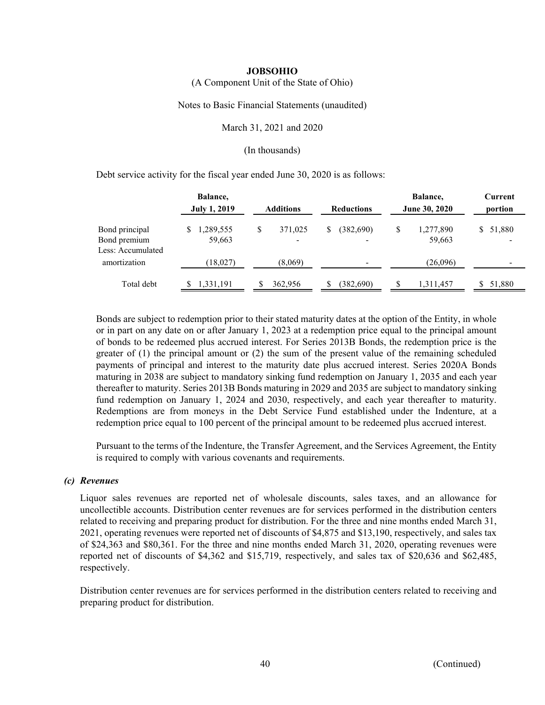(A Component Unit of the State of Ohio)

Notes to Basic Financial Statements (unaudited)

March 31, 2021 and 2020

(In thousands)

Debt service activity for the fiscal year ended June 30, 2020 is as follows:

|                                                     | Balance,<br><b>July 1, 2019</b> | <b>Additions</b>                          | <b>Reductions</b>    | Balance,<br>June 30, 2020 | Current<br>portion |  |
|-----------------------------------------------------|---------------------------------|-------------------------------------------|----------------------|---------------------------|--------------------|--|
| Bond principal<br>Bond premium<br>Less: Accumulated | 1,289,555<br>59,663             | \$<br>371,025<br>$\overline{\phantom{a}}$ | (382,690)<br>\$<br>- | \$<br>1,277,890<br>59,663 | 51,880<br>S.       |  |
| amortization                                        | (18,027)                        | (8,069)                                   |                      | (26,096)                  |                    |  |
| Total debt                                          | 1,331,191                       | 362,956<br>S                              | (382,690)<br>S       | \$.<br>1,311,457          | 51,880<br>S.       |  |

Bonds are subject to redemption prior to their stated maturity dates at the option of the Entity, in whole or in part on any date on or after January 1, 2023 at a redemption price equal to the principal amount of bonds to be redeemed plus accrued interest. For Series 2013B Bonds, the redemption price is the greater of (1) the principal amount or (2) the sum of the present value of the remaining scheduled payments of principal and interest to the maturity date plus accrued interest. Series 2020A Bonds maturing in 2038 are subject to mandatory sinking fund redemption on January 1, 2035 and each year thereafter to maturity. Series 2013B Bonds maturing in 2029 and 2035 are subject to mandatory sinking fund redemption on January 1, 2024 and 2030, respectively, and each year thereafter to maturity. Redemptions are from moneys in the Debt Service Fund established under the Indenture, at a redemption price equal to 100 percent of the principal amount to be redeemed plus accrued interest.

Pursuant to the terms of the Indenture, the Transfer Agreement, and the Services Agreement, the Entity is required to comply with various covenants and requirements.

#### *(c) Revenues*

Liquor sales revenues are reported net of wholesale discounts, sales taxes, and an allowance for uncollectible accounts. Distribution center revenues are for services performed in the distribution centers related to receiving and preparing product for distribution. For the three and nine months ended March 31, 2021, operating revenues were reported net of discounts of \$4,875 and \$13,190, respectively, and sales tax of \$24,363 and \$80,361. For the three and nine months ended March 31, 2020, operating revenues were reported net of discounts of \$4,362 and \$15,719, respectively, and sales tax of \$20,636 and \$62,485, respectively.

Distribution center revenues are for services performed in the distribution centers related to receiving and preparing product for distribution.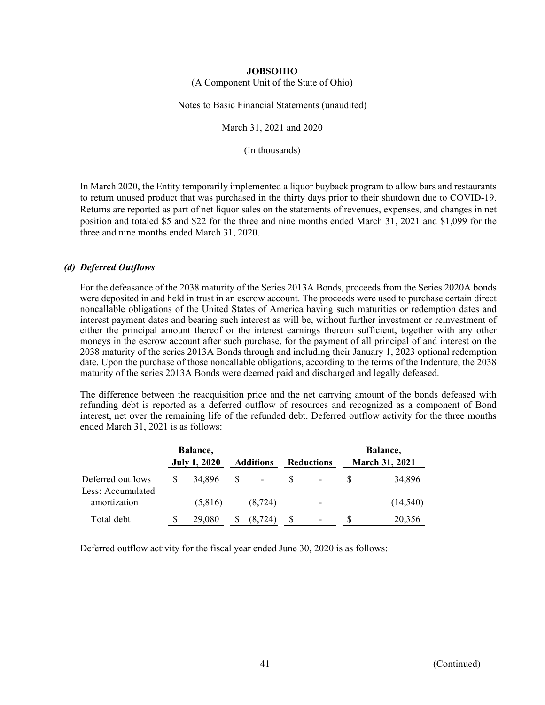(A Component Unit of the State of Ohio)

Notes to Basic Financial Statements (unaudited)

March 31, 2021 and 2020

(In thousands)

In March 2020, the Entity temporarily implemented a liquor buyback program to allow bars and restaurants to return unused product that was purchased in the thirty days prior to their shutdown due to COVID-19. Returns are reported as part of net liquor sales on the statements of revenues, expenses, and changes in net position and totaled \$5 and \$22 for the three and nine months ended March 31, 2021 and \$1,099 for the three and nine months ended March 31, 2020.

#### *(d) Deferred Outflows*

For the defeasance of the 2038 maturity of the Series 2013A Bonds, proceeds from the Series 2020A bonds were deposited in and held in trust in an escrow account. The proceeds were used to purchase certain direct noncallable obligations of the United States of America having such maturities or redemption dates and interest payment dates and bearing such interest as will be, without further investment or reinvestment of either the principal amount thereof or the interest earnings thereon sufficient, together with any other moneys in the escrow account after such purchase, for the payment of all principal of and interest on the 2038 maturity of the series 2013A Bonds through and including their January 1, 2023 optional redemption date. Upon the purchase of those noncallable obligations, according to the terms of the Indenture, the 2038 maturity of the series 2013A Bonds were deemed paid and discharged and legally defeased.

The difference between the reacquisition price and the net carrying amount of the bonds defeased with refunding debt is reported as a deferred outflow of resources and recognized as a component of Bond interest, net over the remaining life of the refunded debt. Deferred outflow activity for the three months ended March 31, 2021 is as follows:

|                                        |   | <b>Balance</b> ,<br><b>July 1, 2020</b> |   | <b>Additions</b>         | <b>Reductions</b> | Balance,<br><b>March 31, 2021</b> |           |
|----------------------------------------|---|-----------------------------------------|---|--------------------------|-------------------|-----------------------------------|-----------|
| Deferred outflows<br>Less: Accumulated | S | 34,896                                  | S | $\overline{\phantom{a}}$ | -                 |                                   | 34,896    |
| amortization                           |   | (5,816)                                 |   | (8, 724)                 | -                 |                                   | (14, 540) |
| Total debt                             | S | 29,080                                  |   | (8, 724)                 | -                 |                                   | 20,356    |

Deferred outflow activity for the fiscal year ended June 30, 2020 is as follows: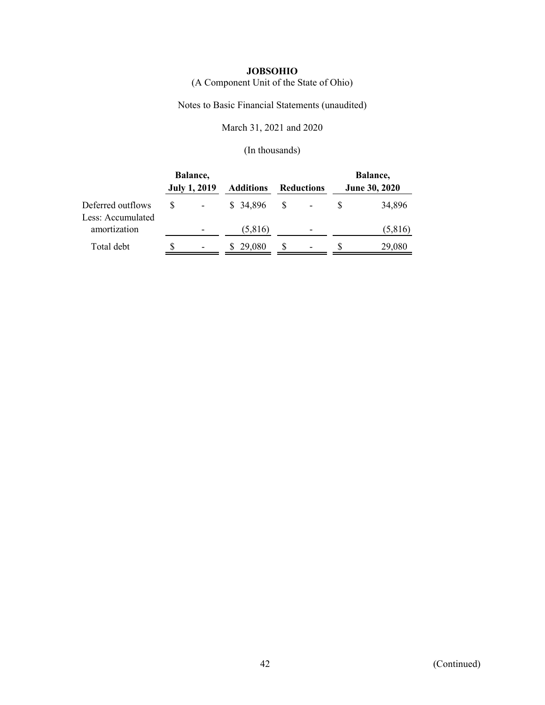(A Component Unit of the State of Ohio)

Notes to Basic Financial Statements (unaudited)

March 31, 2021 and 2020

|                                        | Balance,<br><b>July 1, 2019</b> | <b>Reductions</b><br><b>Additions</b> |    |  | Balance,<br>June 30, 2020 |         |  |
|----------------------------------------|---------------------------------|---------------------------------------|----|--|---------------------------|---------|--|
| Deferred outflows<br>Less: Accumulated | -                               | \$ 34,896                             | -S |  |                           | 34,896  |  |
| amortization                           |                                 | (5,816)                               |    |  |                           | (5,816) |  |
| Total debt                             | $\overline{\phantom{0}}$        | 29,080                                |    |  |                           | 29,080  |  |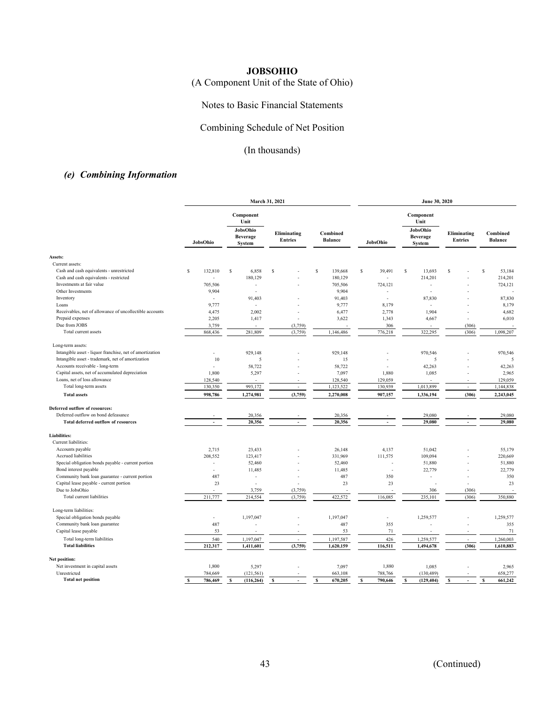(A Component Unit of the State of Ohio)

## Notes to Basic Financial Statements

## Combining Schedule of Net Position

# (In thousands)

# *(e) Combining Information*

|                                                          | March 31, 2021 |                               |                               |                            | June 30, 2020  |                               |                               |                            |
|----------------------------------------------------------|----------------|-------------------------------|-------------------------------|----------------------------|----------------|-------------------------------|-------------------------------|----------------------------|
|                                                          |                | Component<br>Unit<br>JobsOhio |                               |                            |                | Component<br>Unit<br>JobsOhio | Eliminating<br><b>Entries</b> | Combined<br><b>Balance</b> |
|                                                          | JobsOhio       | <b>Beverage</b><br>System     | Eliminating<br><b>Entries</b> | Combined<br><b>Balance</b> | JobsOhio       | <b>Beverage</b><br>System     |                               |                            |
| Assets:                                                  |                |                               |                               |                            |                |                               |                               |                            |
| Current assets:                                          |                |                               |                               |                            |                |                               |                               |                            |
| Cash and cash equivalents - unrestricted                 | S<br>132,810   | s<br>6,858                    | S                             | S<br>139,668               | \$<br>39,491   | \$<br>13,693                  | S                             | s<br>53,184                |
| Cash and cash equivalents - restricted                   | ÷.             | 180,129                       |                               | 180,129                    | ÷              | 214,201                       |                               | 214,201                    |
| Investments at fair value                                | 705,506        | ÷,                            |                               | 705,506                    | 724.121        | $\sim$                        |                               | 724,121                    |
| Other Investments                                        | 9,904          | J.                            |                               | 9,904                      | ÷,             | L.                            |                               |                            |
| Inventory                                                | $\overline{a}$ | 91,403                        |                               | 91,403                     | $\overline{a}$ | 87,830                        |                               | 87,830                     |
| Loans                                                    | 9,777          | ÷.                            |                               | 9,777                      | 8,179          | $\sim$                        |                               | 8,179                      |
| Receivables, net of allowance of uncollectible accounts  | 4,475          | 2,002                         |                               | 6,477                      | 2,778          | 1,904                         |                               | 4,682                      |
| Prepaid expenses                                         | 2,205          | 1,417                         |                               | 3,622                      | 1,343          | 4,667                         |                               | 6,010                      |
| Due from JOBS                                            | 3,759          |                               | (3,759)                       |                            | 306            |                               | (306)                         |                            |
| Total current assets                                     | 868,436        | 281,809                       | (3,759)                       | 1,146,486                  | 776,218        | 322,295                       | (306)                         | 1,098,207                  |
| Long-term assets:                                        |                |                               |                               |                            |                |                               |                               |                            |
| Intangible asset - liquor franchise, net of amortization | ÷,             | 929,148                       |                               | 929,148                    |                | 970,546                       |                               | 970,546                    |
| Intangible asset - trademark, net of amortization        | 10             | 5                             |                               | 15                         |                | 5                             |                               | 5                          |
| Accounts receivable - long-term                          | ÷.             | 58,722                        |                               | 58,722                     |                | 42,263                        |                               | 42,263                     |
| Capital assets, net of accumulated depreciation          | 1,800          | 5,297                         |                               | 7,097                      | 1,880          | 1,085                         |                               | 2,965                      |
| Loans, net of loss allowance                             | 128,540        |                               |                               | 128,540                    | 129,059        |                               |                               | 129,059                    |
| Total long-term assets                                   | 130,350        | 993,172                       | ÷.                            | 1,123,522                  | 130,939        | 1,013,899                     | ÷.                            | 1,144,838                  |
| <b>Total assets</b>                                      | 998,786        | 1,274,981                     | (3,759)                       | 2,270,008                  | 907,157        | 1,336,194                     | (306)                         | 2,243,045                  |
| <b>Deferred outflow of resources:</b>                    |                |                               |                               |                            |                |                               |                               |                            |
| Deferred outflow on bond defeasance                      |                | 20,356                        |                               | 20,356                     |                | 29,080                        |                               | 29,080                     |
| <b>Total deferred outflow of resources</b>               | ÷.             | 20,356                        | ÷.                            | 20,356                     | $\sim$         | 29,080                        | $\sim$                        | 29,080                     |
| <b>Liabilities:</b>                                      |                |                               |                               |                            |                |                               |                               |                            |
| Current liabilities:                                     |                |                               |                               |                            |                |                               |                               |                            |
| Accounts payable                                         | 2,715          | 23,433                        |                               | 26,148                     | 4,137          | 51,042                        |                               | 55,179                     |
| Accrued liabilities                                      | 208,552        | 123,417                       |                               | 331,969                    | 111,575        | 109,094                       |                               | 220,669                    |
| Special obligation bonds payable - current portion       | ÷,             | 52,460                        |                               | 52,460                     |                | 51,880                        |                               | 51,880                     |
| Bond interest payable                                    | ÷              | 11,485                        |                               | 11,485                     | L.             | 22,779                        |                               | 22,779                     |
| Community bank loan guarantee - current portion          | 487            | $\sim$                        | ÷.                            | 487                        | 350            | ÷.                            |                               | 350                        |
| Capital lease payable - current portion                  | 23             | ÷,                            |                               | 23                         | 23             |                               |                               | 23                         |
| Due to JobsOhio                                          |                | 3,759                         | (3,759)                       |                            |                | 306                           | (306)                         |                            |
| Total current liabilities                                | 211,777        | 214,554                       | (3,759)                       | 422,572                    | 116,085        | 235,101                       | (306)                         | 350,880                    |
| Long-term liabilities:                                   |                |                               |                               |                            |                |                               |                               |                            |
| Special obligation bonds payable                         | ä,             | 1,197,047                     |                               | 1,197,047                  | ÷.             | 1,259,577                     |                               | 1,259,577                  |
| Community bank loan guarantee                            | 487            |                               |                               | 487                        | 355            |                               |                               | 355                        |
| Capital lease payable                                    | 53             |                               |                               | 53                         | 71             |                               |                               | 71                         |
| Total long-term liabilities                              | 540            | 1,197,047                     | ÷.                            | 1,197,587                  | 426            | 1,259,577                     | ÷.                            | 1,260,003                  |
| <b>Total liabilities</b>                                 | 212,317        | 1,411,601                     | (3,759)                       | 1,620,159                  | 116,511        | 1,494,678                     | (306)                         | 1,610,883                  |
| Net position:                                            |                |                               |                               |                            |                |                               |                               |                            |
| Net investment in capital assets                         | 1,800          | 5,297                         |                               | 7,097                      | 1,880          | 1,085                         |                               | 2,965                      |
| Unrestricted                                             | 784,669        | (121, 561)                    |                               | 663,108                    | 788,766        | (130, 489)                    |                               | 658,277                    |
| <b>Total net position</b>                                | 786,469<br>s   | (116, 264)<br>s               | S<br>$\tilde{\phantom{a}}$    | 670,205<br>s               | 790,646<br>s   | (129, 404)<br>s               | s<br>$\sim$                   | s<br>661,242               |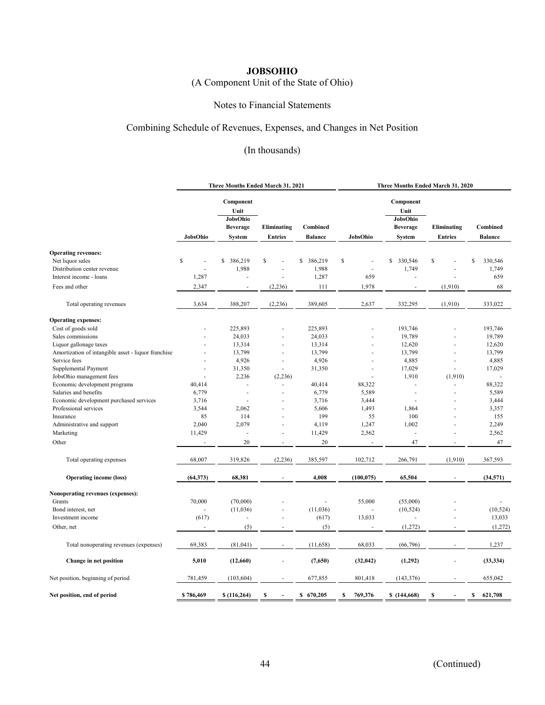# (A Component Unit of the State of Ohio)

### Notes to Financial Statements

## Combining Schedule of Revenues, Expenses, and Changes in Net Position

|                                                     | Three Months Ended March 31, 2021 |                                                                   |                               |                            | Three Months Ended March 31, 2020 |                                                            |                               |                            |  |
|-----------------------------------------------------|-----------------------------------|-------------------------------------------------------------------|-------------------------------|----------------------------|-----------------------------------|------------------------------------------------------------|-------------------------------|----------------------------|--|
|                                                     | JobsOhio                          | Component<br>Unit<br>JobsOhio<br><b>Beverage</b><br><b>System</b> | Eliminating<br><b>Entries</b> | Combined<br><b>Balance</b> | JobsOhio                          | Component<br>Unit<br>JobsOhio<br><b>Beverage</b><br>System | Eliminating<br><b>Entries</b> | Combined<br><b>Balance</b> |  |
| <b>Operating revenues:</b>                          |                                   |                                                                   |                               |                            |                                   |                                                            |                               |                            |  |
| Net liquor sales                                    | \$                                | 386,219<br>\$                                                     | S                             | \$<br>386,219              | \$<br>J.                          | s<br>330,546                                               | \$                            | S<br>330,546               |  |
| Distribution center revenue                         |                                   | 1,988                                                             |                               | 1,988                      | J.                                | 1,749                                                      |                               | 1,749                      |  |
| Interest income - loans                             |                                   |                                                                   |                               |                            | 659                               |                                                            |                               | 659                        |  |
|                                                     | 1,287                             |                                                                   |                               | 1,287                      |                                   |                                                            |                               |                            |  |
| Fees and other                                      | 2,347                             |                                                                   | (2,236)                       | 111                        | 1,978                             |                                                            | (1,910)                       | 68                         |  |
| Total operating revenues                            | 3,634                             | 388,207                                                           | (2, 236)                      | 389,605                    | 2,637                             | 332,295                                                    | (1,910)                       | 333,022                    |  |
| <b>Operating expenses:</b>                          |                                   |                                                                   |                               |                            |                                   |                                                            |                               |                            |  |
| Cost of goods sold                                  |                                   | 225,893                                                           |                               | 225,893                    |                                   | 193,746                                                    |                               | 193,746                    |  |
| Sales commissions                                   |                                   | 24,033                                                            |                               | 24,033                     |                                   | 19,789                                                     |                               | 19,789                     |  |
| Liquor gallonage taxes                              |                                   | 13,314                                                            |                               | 13,314                     |                                   | 12,620                                                     |                               | 12,620                     |  |
| Amortization of intangible asset - liquor franchise |                                   | 13,799                                                            |                               | 13,799                     |                                   | 13,799                                                     |                               | 13,799                     |  |
| Service fees                                        |                                   | 4,926                                                             | $\overline{\phantom{a}}$      | 4,926                      |                                   | 4,885                                                      |                               | 4,885                      |  |
| Supplemental Payment                                | ä,                                | 31,350                                                            |                               | 31,350                     | $\sim$                            | 17,029                                                     |                               | 17,029                     |  |
| JobsOhio management fees                            |                                   | 2,236                                                             | (2,236)                       |                            |                                   | 1,910                                                      | (1,910)                       |                            |  |
| Economic development programs                       | 40,414                            | ÷,                                                                |                               | 40,414                     | 88,322                            | ä,                                                         |                               | 88,322                     |  |
| Salaries and benefits                               | 6,779                             | ä,                                                                |                               | 6,779                      | 5,589                             | L.                                                         |                               | 5,589                      |  |
| Economic development purchased services             | 3,716                             |                                                                   |                               | 3,716                      | 3,444                             |                                                            |                               | 3,444                      |  |
| Professional services                               | 3,544                             | 2,062                                                             |                               | 5,606                      | 1,493                             | 1,864                                                      |                               | 3,357                      |  |
| Insurance                                           | 85                                | 114                                                               |                               | 199                        | 55                                | 100                                                        |                               | 155                        |  |
| Administrative and support                          | 2,040                             | 2,079                                                             |                               | 4,119                      | 1,247                             | 1,002                                                      |                               | 2,249                      |  |
|                                                     | 11,429                            |                                                                   |                               |                            |                                   | ł,                                                         |                               | 2,562                      |  |
| Marketing                                           |                                   |                                                                   |                               | 11,429                     | 2,562                             |                                                            |                               |                            |  |
| Other                                               | ÷,                                | 20                                                                | ä,                            | 20                         | ä,                                | 47                                                         |                               | 47                         |  |
| Total operating expenses                            | 68,007                            | 319,826                                                           | (2, 236)                      | 385,597                    | 102,712                           | 266,791                                                    | (1,910)                       | 367,593                    |  |
| <b>Operating income (loss)</b>                      | (64, 373)                         | 68,381                                                            | $\overline{\phantom{a}}$      | 4,008                      | (100, 075)                        | 65,504                                                     | ÷.                            | (34,571)                   |  |
| Nonoperating revenues (expenses):                   |                                   |                                                                   |                               |                            |                                   |                                                            |                               |                            |  |
| Grants                                              | 70,000                            | (70,000)                                                          |                               |                            | 55,000                            | (55,000)                                                   |                               |                            |  |
| Bond interest, net                                  | ä,                                | (11,036)                                                          |                               | (11,036)                   |                                   | (10, 524)                                                  |                               | (10, 524)                  |  |
| Investment income                                   | (617)                             | ٠                                                                 |                               | (617)                      | 13,033                            |                                                            |                               | 13,033                     |  |
| Other, net                                          |                                   | (5)                                                               |                               | (5)                        |                                   | (1,272)                                                    |                               | (1,272)                    |  |
|                                                     |                                   |                                                                   |                               |                            |                                   |                                                            |                               |                            |  |
| Total nonoperating revenues (expenses)              | 69,383                            | (81,041)                                                          |                               | (11, 658)                  | 68,033                            | (66, 796)                                                  |                               | 1,237                      |  |
| Change in net position                              | 5,010                             | (12,660)                                                          |                               | (7,650)                    | (32, 042)                         | (1,292)                                                    |                               | (33, 334)                  |  |
| Net position, beginning of period                   | 781,459                           | (103, 604)                                                        |                               | 677,855                    | 801,418                           | (143, 376)                                                 |                               | 655,042                    |  |
| Net position, end of period                         | \$786,469                         | \$(116, 264)                                                      | s                             | \$670,205                  | \$<br>769,376                     | \$(144,668)                                                | \$                            | \$<br>621,708              |  |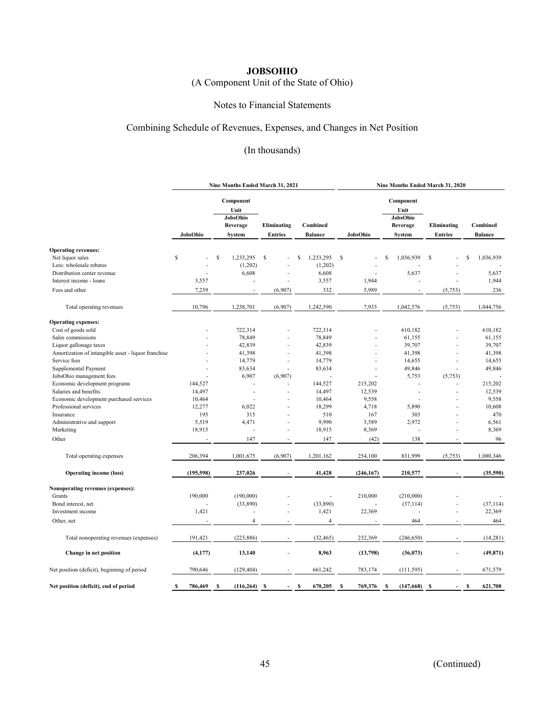# (A Component Unit of the State of Ohio)

## Notes to Financial Statements

## Combining Schedule of Revenues, Expenses, and Changes in Net Position

|                                                     | Nine Months Ended March 31, 2021 |                                                                   |                               |                            | Nine Months Ended March 31, 2020 |                                                            |                               |                            |  |
|-----------------------------------------------------|----------------------------------|-------------------------------------------------------------------|-------------------------------|----------------------------|----------------------------------|------------------------------------------------------------|-------------------------------|----------------------------|--|
|                                                     | JobsOhio                         | Component<br>Unit<br>JobsOhio<br><b>Beverage</b><br><b>System</b> | Eliminating<br><b>Entries</b> | Combined<br><b>Balance</b> | JobsOhio                         | Component<br>Unit<br>JobsOhio<br><b>Beverage</b><br>System | Eliminating<br><b>Entries</b> | Combined<br><b>Balance</b> |  |
| <b>Operating revenues:</b>                          |                                  |                                                                   |                               |                            |                                  |                                                            |                               |                            |  |
| Net liquor sales                                    | \$                               | \$<br>1,233,295                                                   | \$                            | 1,233,295<br>\$            | S                                | \$<br>1,036,939                                            | \$                            | 1,036,939<br>\$.           |  |
| Less: wholesale rebates                             |                                  | (1,202)                                                           |                               | (1,202)                    |                                  |                                                            |                               |                            |  |
| Distribution center revenue                         |                                  | 6,608                                                             |                               | 6,608                      |                                  | 5,637                                                      |                               | 5,637                      |  |
| Interest income - loans                             | 3,557                            |                                                                   |                               | 3,557                      | 1,944                            |                                                            |                               | 1,944                      |  |
| Fees and other                                      | 7,239                            | ÷.                                                                | (6,907)                       | 332                        | 5,989                            |                                                            | (5,753)                       | 236                        |  |
| Total operating revenues                            | 10,796                           | 1,238,701                                                         | (6,907)                       | 1,242,590                  | 7,933                            | 1,042,576                                                  | (5,753)                       | 1,044,756                  |  |
| <b>Operating expenses:</b>                          |                                  |                                                                   |                               |                            |                                  |                                                            |                               |                            |  |
| Cost of goods sold                                  |                                  | 722,314                                                           |                               | 722,314                    |                                  | 610,182                                                    |                               | 610,182                    |  |
| Sales commissions                                   |                                  | 78,849                                                            |                               | 78,849                     |                                  | 61,155                                                     |                               | 61,155                     |  |
| Liquor gallonage taxes                              |                                  | 42,839                                                            |                               | 42,839                     |                                  | 39,707                                                     |                               | 39,707                     |  |
| Amortization of intangible asset - liquor franchise |                                  | 41,398                                                            | ٠                             | 41,398                     |                                  | 41,398                                                     |                               | 41,398                     |  |
| Service fees                                        |                                  | 14,779                                                            |                               | 14,779                     |                                  | 14,655                                                     |                               | 14,655                     |  |
| Supplemental Payment                                |                                  | 83,634                                                            |                               | 83,634                     |                                  | 49,846                                                     | ٠                             | 49,846                     |  |
| JobsOhio management fees                            |                                  | 6,907                                                             | (6,907)                       |                            |                                  | 5,753                                                      | (5,753)                       |                            |  |
| Economic development programs                       | 144,527                          |                                                                   |                               | 144,527                    | 215,202                          |                                                            |                               | 215,202                    |  |
| Salaries and benefits                               | 14,497                           | J.                                                                |                               | 14,497                     | 12,539                           |                                                            |                               | 12,539                     |  |
| Economic development purchased services             | 10,464                           |                                                                   |                               | 10,464                     | 9,558                            |                                                            |                               | 9,558                      |  |
| Professional services                               | 12,277                           | 6,022                                                             |                               | 18,299                     | 4,718                            | 5,890                                                      |                               | 10,608                     |  |
| Insurance                                           | 195                              | 315                                                               |                               | 510                        | 167                              | 303                                                        |                               | 470                        |  |
| Administrative and support                          | 5,519                            | 4,471                                                             |                               | 9,990                      | 3,589                            | 2,972                                                      |                               | 6,561                      |  |
| Marketing                                           | 18,915                           |                                                                   |                               | 18,915                     | 8,369                            |                                                            |                               | 8,369                      |  |
| Other                                               |                                  | 147                                                               |                               | 147                        | (42)                             | 138                                                        |                               | 96                         |  |
| Total operating expenses                            | 206,394                          | 1,001,675                                                         | (6,907)                       | 1,201,162                  | 254,100                          | 831,999                                                    | (5,753)                       | 1,080,346                  |  |
| <b>Operating income (loss)</b>                      | (195, 598)                       | 237,026                                                           |                               | 41,428                     | (246, 167)                       | 210,577                                                    |                               | (35,590)                   |  |
| Nonoperating revenues (expenses):                   |                                  |                                                                   |                               |                            |                                  |                                                            |                               |                            |  |
| Grants                                              | 190,000                          | (190,000)                                                         |                               |                            | 210,000                          | (210,000)                                                  |                               |                            |  |
| Bond interest, net                                  |                                  | (33,890)                                                          |                               | (33,890)                   |                                  | (37, 114)                                                  |                               | (37, 114)                  |  |
| Investment income                                   | 1,421                            |                                                                   | ÷.                            | 1,421                      | 22,369                           |                                                            |                               | 22,369                     |  |
| Other, net                                          |                                  | $\overline{4}$                                                    |                               | $\overline{4}$             |                                  | 464                                                        |                               | 464                        |  |
|                                                     |                                  |                                                                   |                               |                            |                                  |                                                            |                               |                            |  |
| Total nonoperating revenues (expenses)              | 191,421                          | (223, 886)                                                        |                               | (32, 465)                  | 232,369                          | (246, 650)                                                 |                               | (14, 281)                  |  |
| Change in net position                              | (4, 177)                         | 13,140                                                            |                               | 8,963                      | (13,798)                         | (36,073)                                                   |                               | (49, 871)                  |  |
| Net position (deficit), beginning of period         | 790,646                          | (129, 404)                                                        |                               | 661,242                    | 783,174                          | (111, 595)                                                 |                               | 671,579                    |  |
| Net position (deficit), end of period               | \$<br>786,469                    | (116, 264)<br>s                                                   | s                             | 670,205<br>s               | 769,376<br>S                     | (147, 668)<br>s                                            | -S                            | 621,708<br>s               |  |